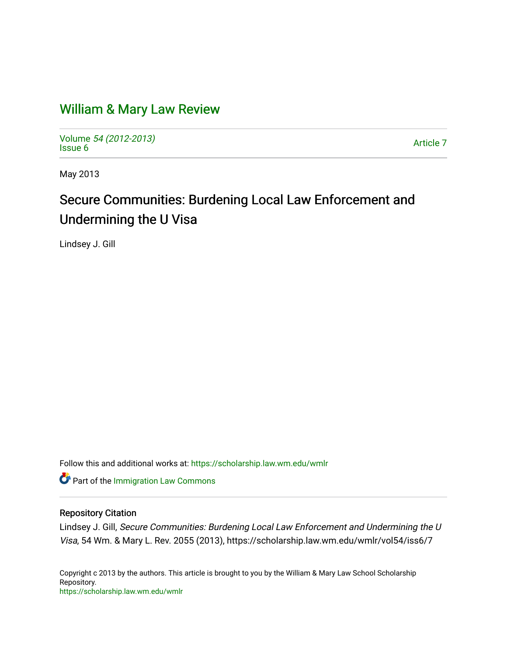# [William & Mary Law Review](https://scholarship.law.wm.edu/wmlr)

Volume [54 \(2012-2013\)](https://scholarship.law.wm.edu/wmlr/vol54)  volume 54 (2012-2015)<br>[Issue 6](https://scholarship.law.wm.edu/wmlr/vol54/iss6) Article 7

May 2013

# Secure Communities: Burdening Local Law Enforcement and Undermining the U Visa

Lindsey J. Gill

Follow this and additional works at: [https://scholarship.law.wm.edu/wmlr](https://scholarship.law.wm.edu/wmlr?utm_source=scholarship.law.wm.edu%2Fwmlr%2Fvol54%2Fiss6%2F7&utm_medium=PDF&utm_campaign=PDFCoverPages)

**Part of the [Immigration Law Commons](http://network.bepress.com/hgg/discipline/604?utm_source=scholarship.law.wm.edu%2Fwmlr%2Fvol54%2Fiss6%2F7&utm_medium=PDF&utm_campaign=PDFCoverPages)** 

# Repository Citation

Lindsey J. Gill, Secure Communities: Burdening Local Law Enforcement and Undermining the U Visa, 54 Wm. & Mary L. Rev. 2055 (2013), https://scholarship.law.wm.edu/wmlr/vol54/iss6/7

Copyright c 2013 by the authors. This article is brought to you by the William & Mary Law School Scholarship Repository. <https://scholarship.law.wm.edu/wmlr>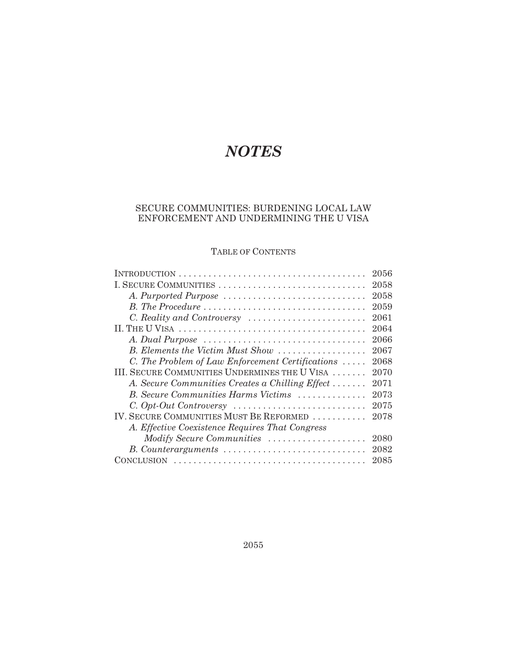# *NOTES*

# SECURE COMMUNITIES: BURDENING LOCAL LAW ENFORCEMENT AND UNDERMINING THE U VISA

# TABLE OF CONTENTS

|                                                  | 2056 |
|--------------------------------------------------|------|
| I. SECURE COMMUNITIES                            | 2058 |
| A. Purported Purpose                             | 2058 |
|                                                  | 2059 |
|                                                  | 2061 |
|                                                  | 2064 |
|                                                  | 2066 |
| B. Elements the Victim Must Show                 | 2067 |
| C. The Problem of Law Enforcement Certifications | 2068 |
| III. SECURE COMMUNITIES UNDERMINES THE U VISA    | 2070 |
| A. Secure Communities Creates a Chilling Effect  | 2071 |
| B. Secure Communities Harms Victims              | 2073 |
|                                                  | 2075 |
| IV. SECURE COMMUNITIES MUST BE REFORMED          | 2078 |
| A. Effective Coexistence Requires That Congress  |      |
| Modify Secure Communities                        | 2080 |
| B. Counterarguments                              | 2082 |
|                                                  | 2085 |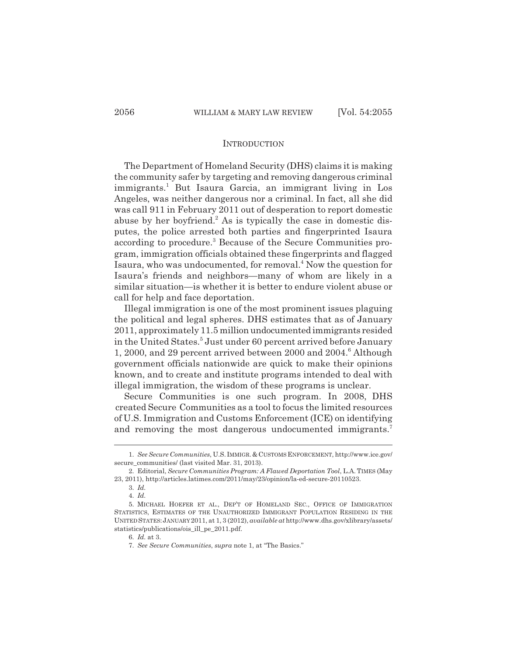#### INTRODUCTION

The Department of Homeland Security (DHS) claims it is making the community safer by targeting and removing dangerous criminal immigrants.1 But Isaura Garcia, an immigrant living in Los Angeles, was neither dangerous nor a criminal. In fact, all she did was call 911 in February 2011 out of desperation to report domestic abuse by her boyfriend.<sup>2</sup> As is typically the case in domestic disputes, the police arrested both parties and fingerprinted Isaura according to procedure.<sup>3</sup> Because of the Secure Communities program, immigration officials obtained these fingerprints and flagged Isaura, who was undocumented, for removal.<sup>4</sup> Now the question for Isaura's friends and neighbors—many of whom are likely in a similar situation—is whether it is better to endure violent abuse or call for help and face deportation.

Illegal immigration is one of the most prominent issues plaguing the political and legal spheres. DHS estimates that as of January 2011, approximately 11.5 million undocumented immigrants resided in the United States.<sup>5</sup> Just under 60 percent arrived before January 1, 2000, and 29 percent arrived between 2000 and 2004.<sup>6</sup> Although government officials nationwide are quick to make their opinions known, and to create and institute programs intended to deal with illegal immigration, the wisdom of these programs is unclear.

Secure Communities is one such program. In 2008, DHS created Secure Communities as a tool to focus the limited resources of U.S. Immigration and Customs Enforcement (ICE) on identifying and removing the most dangerous undocumented immigrants.<sup>7</sup>

<sup>1.</sup> *See Secure Communities*, U.S. IMMIGR.& CUSTOMS ENFORCEMENT, http://www.ice.gov/ secure\_communities/ (last visited Mar. 31, 2013).

<sup>2.</sup> Editorial, *Secure Communities Program: A Flawed Deportation Tool*, L.A.TIMES (May 23, 2011), http://articles.latimes.com/2011/may/23/opinion/la-ed-secure-20110523.

<sup>3.</sup> *Id.*

<sup>4.</sup> *Id.*

<sup>5.</sup> MICHAEL HOEFER ET AL., DEP'T OF HOMELAND SEC., OFFICE OF IMMIGRATION STATISTICS, ESTIMATES OF THE UNAUTHORIZED IMMIGRANT POPULATION RESIDING IN THE UNITED STATES:JANUARY 2011, at 1, 3 (2012), *available at* http://www.dhs.gov/xlibrary/assets/ statistics/publications/ois\_ill\_pe\_2011.pdf.

<sup>6.</sup> *Id.* at 3.

<sup>7.</sup> *See Secure Communities*, *supra* note 1, at "The Basics."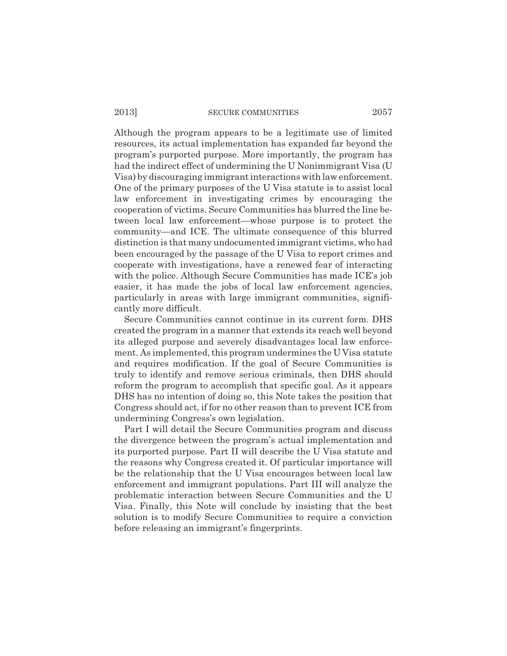Although the program appears to be a legitimate use of limited resources, its actual implementation has expanded far beyond the program's purported purpose. More importantly, the program has had the indirect effect of undermining the U Nonimmigrant Visa (U Visa) by discouraging immigrant interactions with law enforcement. One of the primary purposes of the U Visa statute is to assist local law enforcement in investigating crimes by encouraging the cooperation of victims. Secure Communities has blurred the line between local law enforcement—whose purpose is to protect the community—and ICE. The ultimate consequence of this blurred distinction is that many undocumented immigrant victims, who had been encouraged by the passage of the U Visa to report crimes and cooperate with investigations, have a renewed fear of interacting with the police. Although Secure Communities has made ICE's job easier, it has made the jobs of local law enforcement agencies, particularly in areas with large immigrant communities, significantly more difficult.

Secure Communities cannot continue in its current form. DHS created the program in a manner that extends its reach well beyond its alleged purpose and severely disadvantages local law enforcement. As implemented, this program undermines the U Visa statute and requires modification. If the goal of Secure Communities is truly to identify and remove serious criminals, then DHS should reform the program to accomplish that specific goal. As it appears DHS has no intention of doing so, this Note takes the position that Congress should act, if for no other reason than to prevent ICE from undermining Congress's own legislation.

Part I will detail the Secure Communities program and discuss the divergence between the program's actual implementation and its purported purpose. Part II will describe the U Visa statute and the reasons why Congress created it. Of particular importance will be the relationship that the U Visa encourages between local law enforcement and immigrant populations. Part III will analyze the problematic interaction between Secure Communities and the U Visa. Finally, this Note will conclude by insisting that the best solution is to modify Secure Communities to require a conviction before releasing an immigrant's fingerprints.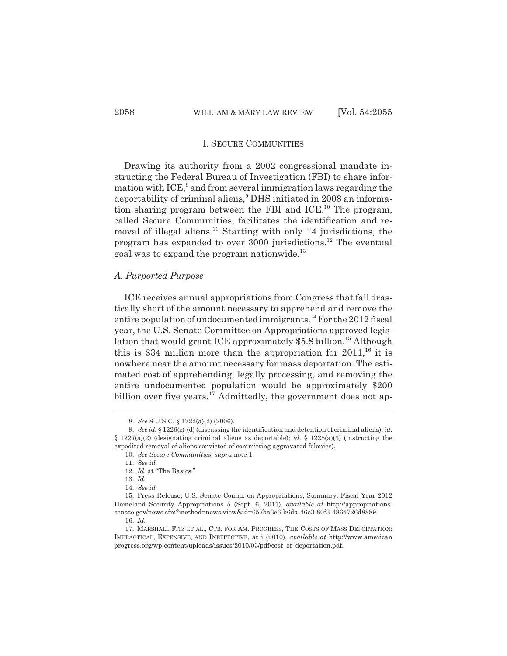Drawing its authority from a 2002 congressional mandate instructing the Federal Bureau of Investigation (FBI) to share information with ICE, $^8$  and from several immigration laws regarding the deportability of criminal aliens,<sup>9</sup> DHS initiated in 2008 an information sharing program between the FBI and ICE.10 The program, called Secure Communities, facilitates the identification and removal of illegal aliens.<sup>11</sup> Starting with only 14 jurisdictions, the program has expanded to over 3000 jurisdictions.<sup>12</sup> The eventual goal was to expand the program nationwide.<sup>13</sup>

### *A. Purported Purpose*

ICE receives annual appropriations from Congress that fall drastically short of the amount necessary to apprehend and remove the entire population of undocumented immigrants.<sup>14</sup> For the 2012 fiscal year, the U.S. Senate Committee on Appropriations approved legislation that would grant ICE approximately \$5.8 billion.<sup>15</sup> Although this is \$34 million more than the appropriation for  $2011$ ,<sup>16</sup> it is nowhere near the amount necessary for mass deportation. The estimated cost of apprehending, legally processing, and removing the entire undocumented population would be approximately \$200 billion over five years.<sup>17</sup> Admittedly, the government does not ap-

<sup>8.</sup> *See* 8 U.S.C. § 1722(a)(2) (2006).

<sup>9.</sup> *See id.* § 1226(c)-(d) (discussing the identification and detention of criminal aliens); *id.*  $§$  1227(a)(2) (designating criminal aliens as deportable); *id.*  $§$  1228(a)(3) (instructing the expedited removal of aliens convicted of committing aggravated felonies).

<sup>10.</sup> *See Secure Communities*, *supra* note 1.

<sup>11.</sup> *See id.*

<sup>12.</sup> *Id.* at "The Basics."

<sup>13.</sup> *Id.*

<sup>14.</sup> *See id.* 

<sup>15.</sup> Press Release, U.S. Senate Comm. on Appropriations, Summary: Fiscal Year 2012 Homeland Security Appropriations 5 (Sept. 6, 2011), *available at* http://appropriations. senate.gov/news.cfm?method=news.view&id=657ba3e6-b6da-46e3-80f3-4865726d8889.

<sup>16.</sup> *Id.*

<sup>17.</sup> MARSHALL FITZ ET AL., CTR. FOR AM. PROGRESS, THE COSTS OF MASS DEPORTATION: IMPRACTICAL, EXPENSIVE, AND INEFFECTIVE, at i (2010), *available at* http://www.american progress.org/wp-content/uploads/issues/2010/03/pdf/cost\_of\_deportation.pdf.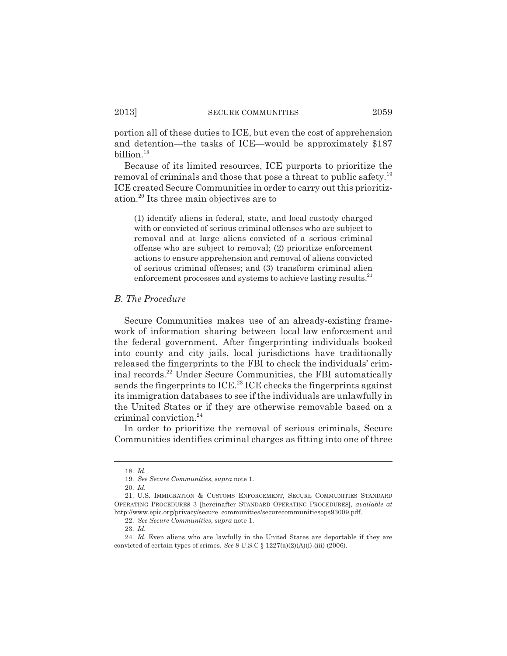portion all of these duties to ICE, but even the cost of apprehension and detention—the tasks of ICE—would be approximately \$187 billion.18

Because of its limited resources, ICE purports to prioritize the removal of criminals and those that pose a threat to public safety.19 ICE created Secure Communities in order to carry out this prioritization.20 Its three main objectives are to

(1) identify aliens in federal, state, and local custody charged with or convicted of serious criminal offenses who are subject to removal and at large aliens convicted of a serious criminal offense who are subject to removal; (2) prioritize enforcement actions to ensure apprehension and removal of aliens convicted of serious criminal offenses; and (3) transform criminal alien enforcement processes and systems to achieve lasting results.<sup>21</sup>

#### *B. The Procedure*

Secure Communities makes use of an already-existing framework of information sharing between local law enforcement and the federal government. After fingerprinting individuals booked into county and city jails, local jurisdictions have traditionally released the fingerprints to the FBI to check the individuals' criminal records.22 Under Secure Communities, the FBI automatically sends the fingerprints to ICE.<sup>23</sup> ICE checks the fingerprints against its immigration databases to see if the individuals are unlawfully in the United States or if they are otherwise removable based on a criminal conviction.<sup>24</sup>

In order to prioritize the removal of serious criminals, Secure Communities identifies criminal charges as fitting into one of three

<sup>18.</sup> *Id.*

<sup>19.</sup> *See Secure Communities*, *supra* note 1.

<sup>20.</sup> *Id.*

<sup>21.</sup> U.S. IMMIGRATION & CUSTOMS ENFORCEMENT, SECURE COMMUNITIES STANDARD OPERATING PROCEDURES 3 [hereinafter STANDARD OPERATING PROCEDURES], *available at* http://www.epic.org/privacy/secure\_communities/securecommunitiesops93009.pdf.

<sup>22.</sup> *See Secure Communities*, *supra* note 1.

<sup>23.</sup> *Id.*

<sup>24.</sup> *Id.* Even aliens who are lawfully in the United States are deportable if they are convicted of certain types of crimes. *See* 8 U.S.C § 1227(a)(2)(A)(i)-(iii) (2006).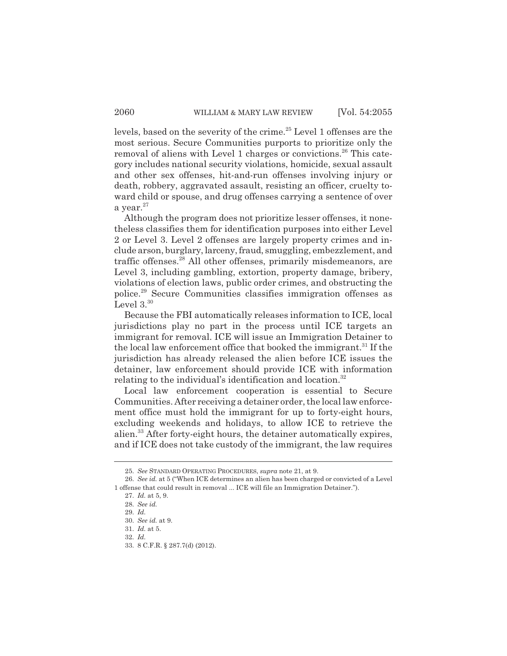levels, based on the severity of the crime.<sup>25</sup> Level 1 offenses are the most serious. Secure Communities purports to prioritize only the removal of aliens with Level 1 charges or convictions.<sup>26</sup> This category includes national security violations, homicide, sexual assault and other sex offenses, hit-and-run offenses involving injury or death, robbery, aggravated assault, resisting an officer, cruelty toward child or spouse, and drug offenses carrying a sentence of over a year. $27$ 

Although the program does not prioritize lesser offenses, it nonetheless classifies them for identification purposes into either Level 2 or Level 3. Level 2 offenses are largely property crimes and include arson, burglary, larceny, fraud, smuggling, embezzlement, and traffic offenses.<sup>28</sup> All other offenses, primarily misdemeanors, are Level 3, including gambling, extortion, property damage, bribery, violations of election laws, public order crimes, and obstructing the police.29 Secure Communities classifies immigration offenses as Level  $3^{30}$ 

Because the FBI automatically releases information to ICE, local jurisdictions play no part in the process until ICE targets an immigrant for removal. ICE will issue an Immigration Detainer to the local law enforcement office that booked the immigrant.<sup>31</sup> If the jurisdiction has already released the alien before ICE issues the detainer, law enforcement should provide ICE with information relating to the individual's identification and location.<sup>32</sup>

Local law enforcement cooperation is essential to Secure Communities. After receiving a detainer order, the local law enforcement office must hold the immigrant for up to forty-eight hours, excluding weekends and holidays, to allow ICE to retrieve the alien.33 After forty-eight hours, the detainer automatically expires, and if ICE does not take custody of the immigrant, the law requires

<sup>25.</sup> *See* STANDARD OPERATING PROCEDURES, *supra* note 21, at 9.

<sup>26.</sup> *See id.* at 5 ("When ICE determines an alien has been charged or convicted of a Level 1 offense that could result in removal ... ICE will file an Immigration Detainer.").

<sup>27.</sup> *Id.* at 5, 9.

<sup>28.</sup> *See id.*

<sup>29.</sup> *Id.*

<sup>30.</sup> *See id.* at 9.

<sup>31.</sup> *Id.* at 5.

<sup>32.</sup> *Id.*

<sup>33. 8</sup> C.F.R. § 287.7(d) (2012).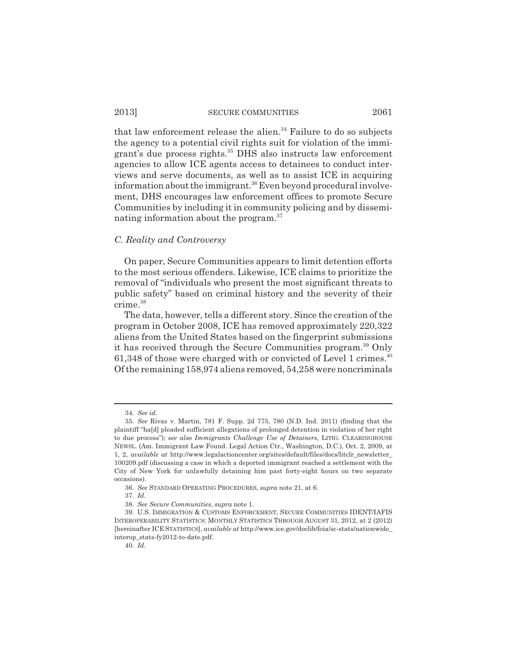that law enforcement release the alien. $34$  Failure to do so subjects the agency to a potential civil rights suit for violation of the immigrant's due process rights.35 DHS also instructs law enforcement agencies to allow ICE agents access to detainees to conduct interviews and serve documents, as well as to assist ICE in acquiring information about the immigrant.<sup>36</sup> Even beyond procedural involvement, DHS encourages law enforcement offices to promote Secure Communities by including it in community policing and by disseminating information about the program.37

#### *C. Reality and Controversy*

On paper, Secure Communities appears to limit detention efforts to the most serious offenders. Likewise, ICE claims to prioritize the removal of "individuals who present the most significant threats to public safety" based on criminal history and the severity of their crime.38

The data, however, tells a different story. Since the creation of the program in October 2008, ICE has removed approximately 220,322 aliens from the United States based on the fingerprint submissions it has received through the Secure Communities program.<sup>39</sup> Only 61,348 of those were charged with or convicted of Level 1 crimes.<sup>40</sup> Of the remaining 158,974 aliens removed, 54,258 were noncriminals

<sup>34.</sup> *See id.*

<sup>35.</sup> *See* Rivas v. Martin, 781 F. Supp. 2d 775, 780 (N.D. Ind. 2011) (finding that the plaintiff "ha[d] pleaded sufficient allegations of prolonged detention in violation of her right to due process"); *see also Immigrants Challenge Use of Detainers*, LITIG. CLEARINGHOUSE NEWSL. (Am. Immigrant Law Found. Legal Action Ctr., Washington, D.C.), Oct. 2, 2009, at 1, 2, *available at* http://www.legalactioncenter.org/sites/default/files/docs/litclr\_newsletter\_ 100209.pdf (discussing a case in which a deported immigrant reached a settlement with the City of New York for unlawfully detaining him past forty-eight hours on two separate occasions).

<sup>36.</sup> *See* STANDARD OPERATING PROCEDURES, *supra* note 21, at 6.

<sup>37.</sup> *Id.*

<sup>38.</sup> *See Secure Communities*, *supra* note 1.

<sup>39.</sup> U.S. IMMIGRATION & CUSTOMS ENFORCEMENT, SECURE COMMUNITIES IDENT/IAFIS INTEROPERABILITY STATISTICS: MONTHLY STATISTICS THROUGH AUGUST 31, 2012, at 2 (2012) [hereinafter ICE STATISTICS], *available at* http://www.ice.gov/doclib/foia/sc-stats/nationwide\_ interop\_stats-fy2012-to-date.pdf.

<sup>40.</sup> *Id.*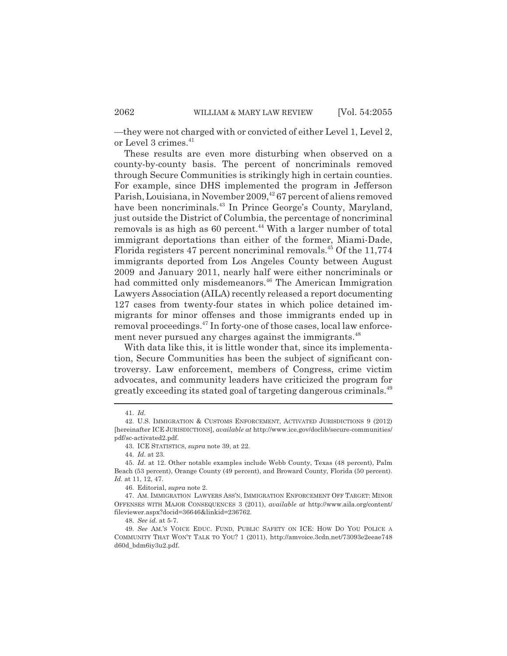—they were not charged with or convicted of either Level 1, Level 2, or Level 3 crimes.<sup>41</sup>

These results are even more disturbing when observed on a county-by-county basis. The percent of noncriminals removed through Secure Communities is strikingly high in certain counties. For example, since DHS implemented the program in Jefferson Parish, Louisiana, in November 2009,<sup>42</sup> 67 percent of aliens removed have been noncriminals.<sup>43</sup> In Prince George's County, Maryland, just outside the District of Columbia, the percentage of noncriminal removals is as high as  $60$  percent.<sup>44</sup> With a larger number of total immigrant deportations than either of the former, Miami-Dade, Florida registers 47 percent noncriminal removals.<sup>45</sup> Of the  $11,774$ immigrants deported from Los Angeles County between August 2009 and January 2011, nearly half were either noncriminals or had committed only misdemeanors.<sup>46</sup> The American Immigration Lawyers Association (AILA) recently released a report documenting 127 cases from twenty-four states in which police detained immigrants for minor offenses and those immigrants ended up in removal proceedings.<sup>47</sup> In forty-one of those cases, local law enforcement never pursued any charges against the immigrants.<sup>48</sup>

With data like this, it is little wonder that, since its implementation, Secure Communities has been the subject of significant controversy. Law enforcement, members of Congress, crime victim advocates, and community leaders have criticized the program for greatly exceeding its stated goal of targeting dangerous criminals.49

<sup>41.</sup> *Id.*

<sup>42.</sup> U.S. IMMIGRATION & CUSTOMS ENFORCEMENT, ACTIVATED JURISDICTIONS 9 (2012) [hereinafter ICE JURISDICTIONS], *available at* http://www.ice.gov/doclib/secure-communities/ pdf/sc-activated2.pdf.

<sup>43.</sup> ICE STATISTICS, *supra* note 39, at 22.

<sup>44.</sup> *Id.* at 23.

<sup>45.</sup> *Id.* at 12. Other notable examples include Webb County, Texas (48 percent), Palm Beach (53 percent), Orange County (49 percent), and Broward County, Florida (50 percent). *Id.* at 11, 12, 47.

<sup>46.</sup> Editorial, *supra* note 2.

<sup>47.</sup> AM. IMMIGRATION LAWYERS ASS'N, IMMIGRATION ENFORCEMENT OFF TARGET: MINOR OFFENSES WITH MAJOR CONSEQUENCES 3 (2011), *available at* http://www.aila.org/content/ fileviewer.aspx?docid=36646&linkid=236762.

<sup>48.</sup> *See id.* at 5-7.

<sup>49.</sup> *See* AM.'S VOICE EDUC. FUND, PUBLIC SAFETY ON ICE: HOW DO YOU POLICE A COMMUNITY THAT WON'T TALK TO YOU? 1 (2011), http://amvoice.3cdn.net/73093e2eeae748 d60d\_bdm6iy3u2.pdf.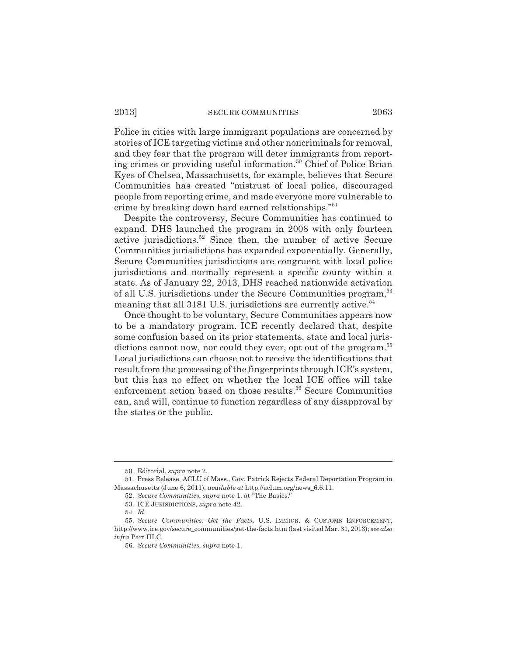Police in cities with large immigrant populations are concerned by stories of ICE targeting victims and other noncriminals for removal, and they fear that the program will deter immigrants from reporting crimes or providing useful information.<sup>50</sup> Chief of Police Brian Kyes of Chelsea, Massachusetts, for example, believes that Secure Communities has created "mistrust of local police, discouraged people from reporting crime, and made everyone more vulnerable to crime by breaking down hard earned relationships."<sup>51</sup>

Despite the controversy, Secure Communities has continued to expand. DHS launched the program in 2008 with only fourteen active jurisdictions.52 Since then, the number of active Secure Communities jurisdictions has expanded exponentially. Generally, Secure Communities jurisdictions are congruent with local police jurisdictions and normally represent a specific county within a state. As of January 22, 2013, DHS reached nationwide activation of all U.S. jurisdictions under the Secure Communities program,<sup>53</sup> meaning that all 3181 U.S. jurisdictions are currently active.<sup>54</sup>

Once thought to be voluntary, Secure Communities appears now to be a mandatory program. ICE recently declared that, despite some confusion based on its prior statements, state and local jurisdictions cannot now, nor could they ever, opt out of the program.<sup>55</sup> Local jurisdictions can choose not to receive the identifications that result from the processing of the fingerprints through ICE's system, but this has no effect on whether the local ICE office will take enforcement action based on those results.<sup>56</sup> Secure Communities can, and will, continue to function regardless of any disapproval by the states or the public.

<sup>50.</sup> Editorial, *supra* note 2.

<sup>51.</sup> Press Release, ACLU of Mass., Gov. Patrick Rejects Federal Deportation Program in Massachusetts (June 6, 2011), *available at* http://aclum.org/news\_6.6.11.

<sup>52.</sup> *Secure Communities*, *supra* note 1, at "The Basics."

<sup>53.</sup> ICE JURISDICTIONS, *supra* note 42.

<sup>54.</sup> *Id.*

<sup>55.</sup> *Secure Communities: Get the Facts*, U.S. IMMIGR. & CUSTOMS ENFORCEMENT, http://www.ice.gov/secure\_communities/get-the-facts.htm (last visited Mar. 31, 2013); *see also infra* Part III.C.

<sup>56.</sup> *Secure Communities*, *supra* note 1.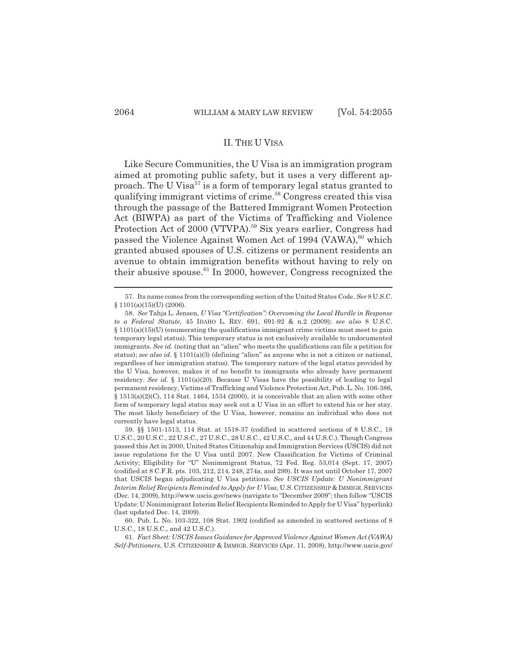# II. THE U VISA

Like Secure Communities, the U Visa is an immigration program aimed at promoting public safety, but it uses a very different approach. The U Visa<sup>57</sup> is a form of temporary legal status granted to qualifying immigrant victims of crime.<sup>58</sup> Congress created this visa through the passage of the Battered Immigrant Women Protection Act (BIWPA) as part of the Victims of Trafficking and Violence Protection Act of 2000 (VTVPA).<sup>59</sup> Six years earlier, Congress had passed the Violence Against Women Act of 1994 (VAWA),<sup>60</sup> which granted abused spouses of U.S. citizens or permanent residents an avenue to obtain immigration benefits without having to rely on their abusive spouse. $61$  In 2000, however, Congress recognized the

<sup>57.</sup> Its name comes from the corresponding section of the United States Code. *See* 8 U.S.C.  $§ 1101(a)(15)(U) (2006).$ 

<sup>58.</sup> *See* Tahja L. Jensen, *U Visa "Certification": Overcoming the Local Hurdle in Response to a Federal Statute,* 45 IDAHO L. REV. 691, 691-92 & n.2 (2009); *see also* 8 U.S.C.  $\S 1101(a)(15)(U)$  (enumerating the qualifications immigrant crime victims must meet to gain temporary legal status). This temporary status is not exclusively available to undocumented immigrants. *See id.* (noting that an "alien" who meets the qualifications can file a petition for status); *see also id.* § 1101(a)(3) (defining "alien" as anyone who is not a citizen or national, regardless of her immigration status). The temporary nature of the legal status provided by the U Visa, however, makes it of no benefit to immigrants who already have permanent residency. *See id.* § 1101(a)(20). Because U Visas have the possibility of leading to legal permanent residency, Victims of Trafficking and Violence Protection Act, Pub. L. No. 106-386,  $§ 1513(a)(2)(C), 114 Stat. 1464, 1534 (2000), it is conceivable that an alien with some other$ form of temporary legal status may seek out a U Visa in an effort to extend his or her stay. The most likely beneficiary of the U Visa, however, remains an individual who does not currently have legal status.

<sup>59. §§ 1501-1513, 114</sup> Stat. at 1518-37 (codified in scattered sections of 8 U.S.C., 18 U.S.C., 20 U.S.C., 22 U.S.C., 27 U.S.C., 28 U.S.C., 42 U.S.C., and 44 U.S.C.). Though Congress passed this Act in 2000, United States Citizenship and Immigration Services (USCIS) did not issue regulations for the U Visa until 2007. New Classification for Victims of Criminal Activity; Eligibility for "U" Nonimmigrant Status, 72 Fed. Reg. 53,014 (Sept. 17, 2007) (codified at 8 C.F.R. pts. 103, 212, 214, 248, 274a, and 299). It was not until October 17, 2007 that USCIS began adjudicating U Visa petitions. *See USCIS Update: U Nonimmigrant Interim Relief Recipients Reminded to Apply for U Visa*, U.S. CITIZENSHIP & IMMIGR. SERVICES (Dec. 14, 2009), http://www.uscis.gov/news (navigate to "December 2009"; then follow "USCIS Update: U Nonimmigrant Interim Relief Recipients Reminded to Apply for U Visa" hyperlink) (last updated Dec. 14, 2009).

<sup>60.</sup> Pub. L. No. 103-322, 108 Stat. 1902 (codified as amended in scattered sections of 8 U.S.C., 18 U.S.C., and 42 U.S.C.).

<sup>61.</sup> *Fact Sheet: USCIS Issues Guidance for Approved Violence Against Women Act (VAWA) Self-Petitioners*, U.S. CITIZENSHIP & IMMIGR. SERVICES (Apr. 11, 2008), http://www.uscis.gov/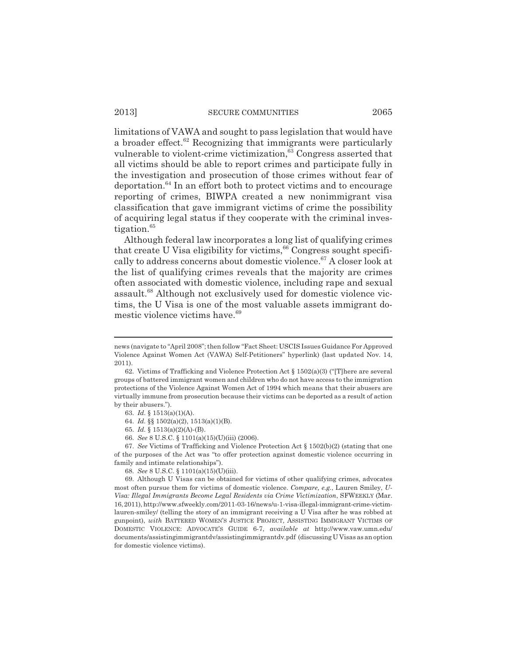limitations of VAWA and sought to pass legislation that would have a broader effect.<sup>62</sup> Recognizing that immigrants were particularly vulnerable to violent-crime victimization,<sup>63</sup> Congress asserted that all victims should be able to report crimes and participate fully in the investigation and prosecution of those crimes without fear of deportation.64 In an effort both to protect victims and to encourage reporting of crimes, BIWPA created a new nonimmigrant visa classification that gave immigrant victims of crime the possibility of acquiring legal status if they cooperate with the criminal investigation.<sup>65</sup>

Although federal law incorporates a long list of qualifying crimes that create U Visa eligibility for victims,  $66$  Congress sought specifically to address concerns about domestic violence.<sup>67</sup> A closer look at the list of qualifying crimes reveals that the majority are crimes often associated with domestic violence, including rape and sexual assault.<sup>68</sup> Although not exclusively used for domestic violence victims, the U Visa is one of the most valuable assets immigrant domestic violence victims have.<sup>69</sup>

67. *See* Victims of Trafficking and Violence Protection Act § 1502(b)(2) (stating that one of the purposes of the Act was "to offer protection against domestic violence occurring in family and intimate relationships").

68. *See* 8 U.S.C. § 1101(a)(15)(U)(iii).

news (navigate to "April 2008"; then follow "Fact Sheet: USCIS Issues Guidance For Approved Violence Against Women Act (VAWA) Self-Petitioners" hyperlink) (last updated Nov. 14, 2011).

<sup>62.</sup> Victims of Trafficking and Violence Protection Act  $\S$  1502(a)(3) ("There are several groups of battered immigrant women and children who do not have access to the immigration protections of the Violence Against Women Act of 1994 which means that their abusers are virtually immune from prosecution because their victims can be deported as a result of action by their abusers.").

<sup>63.</sup> *Id.* § 1513(a)(1)(A).

<sup>64.</sup> *Id.* §§ 1502(a)(2), 1513(a)(1)(B).

<sup>65.</sup> *Id.* § 1513(a)(2)(A)-(B).

<sup>66.</sup> *See* 8 U.S.C. § 1101(a)(15)(U)(iii) (2006).

<sup>69.</sup> Although U Visas can be obtained for victims of other qualifying crimes, advocates most often pursue them for victims of domestic violence. *Compare, e.g.*, Lauren Smiley, *U-Visa: Illegal Immigrants Become Legal Residents via Crime Victimization*, SFWEEKLY (Mar. 16, 2011), http://www.sfweekly.com/2011-03-16/news/u-1-visa-illegal-immigrant-crime-victimlauren-smiley/ (telling the story of an immigrant receiving a U Visa after he was robbed at gunpoint), *with* BATTERED WOMEN'S JUSTICE PROJECT, ASSISTING IMMIGRANT VICTIMS OF DOMESTIC VIOLENCE: ADVOCATE'S GUIDE 6-7, *available at* http://www.vaw.umn.edu/ documents/assistingimmigrantdv/assistingimmigrantdv.pdf (discussing U Visas as an option for domestic violence victims).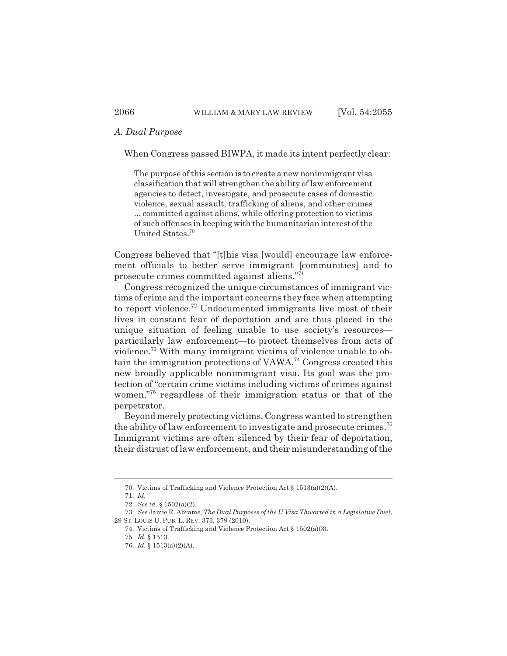## *A. Dual Purpose*

When Congress passed BIWPA, it made its intent perfectly clear:

The purpose of this section is to create a new nonimmigrant visa classification that will strengthen the ability of law enforcement agencies to detect, investigate, and prosecute cases of domestic violence, sexual assault, trafficking of aliens, and other crimes ... committed against aliens, while offering protection to victims of such offenses in keeping with the humanitarian interest of the United States.70

Congress believed that "[t]his visa [would] encourage law enforcement officials to better serve immigrant [communities] and to prosecute crimes committed against aliens."71

Congress recognized the unique circumstances of immigrant victims of crime and the important concerns they face when attempting to report violence.72 Undocumented immigrants live most of their lives in constant fear of deportation and are thus placed in the unique situation of feeling unable to use society's resources particularly law enforcement—to protect themselves from acts of violence.73 With many immigrant victims of violence unable to obtain the immigration protections of  $VAWA<sub>14</sub>$  Congress created this new broadly applicable nonimmigrant visa. Its goal was the protection of "certain crime victims including victims of crimes against women,"75 regardless of their immigration status or that of the perpetrator.

Beyond merely protecting victims, Congress wanted to strengthen the ability of law enforcement to investigate and prosecute crimes.<sup>76</sup> Immigrant victims are often silenced by their fear of deportation, their distrust of law enforcement, and their misunderstanding of the

<sup>70.</sup> Victims of Trafficking and Violence Protection Act § 1513(a)(2)(A).

<sup>71.</sup> *Id.*

<sup>72.</sup> *See id.* § 1502(a)(2).

<sup>73.</sup> *See* Jamie R. Abrams, *The Dual Purposes of the U Visa Thwarted in a Legislative Duel*, 29 ST. LOUIS U. PUB. L. REV. 373, 379 (2010).

<sup>74.</sup> Victims of Trafficking and Violence Protection Act § 1502(a)(3).

<sup>75.</sup> *Id.* § 1513.

<sup>76.</sup> *Id.* § 1513(a)(2)(A).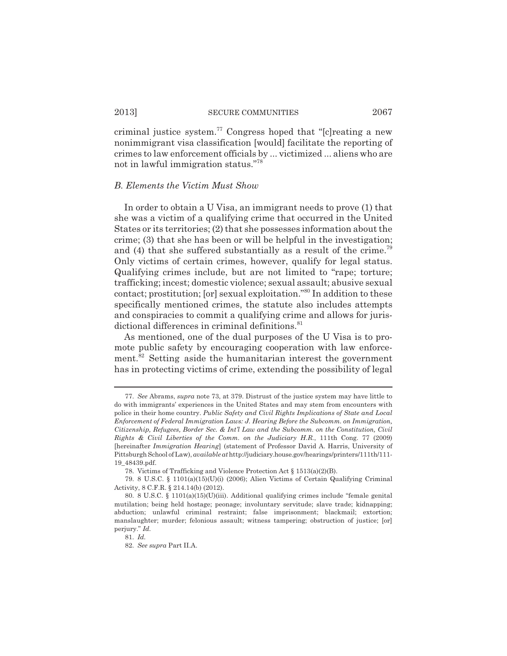criminal justice system.<sup>77</sup> Congress hoped that " $[*c*]$ reating a new nonimmigrant visa classification [would] facilitate the reporting of crimes to law enforcement officials by ... victimized ... aliens who are not in lawful immigration status."78

#### *B. Elements the Victim Must Show*

In order to obtain a U Visa, an immigrant needs to prove (1) that she was a victim of a qualifying crime that occurred in the United States or its territories; (2) that she possesses information about the crime; (3) that she has been or will be helpful in the investigation; and (4) that she suffered substantially as a result of the crime.<sup>79</sup> Only victims of certain crimes, however, qualify for legal status. Qualifying crimes include, but are not limited to "rape; torture; trafficking; incest; domestic violence; sexual assault; abusive sexual contact; prostitution; [or] sexual exploitation."80 In addition to these specifically mentioned crimes, the statute also includes attempts and conspiracies to commit a qualifying crime and allows for jurisdictional differences in criminal definitions.<sup>81</sup>

As mentioned, one of the dual purposes of the U Visa is to promote public safety by encouraging cooperation with law enforcement.<sup>82</sup> Setting aside the humanitarian interest the government has in protecting victims of crime, extending the possibility of legal

<sup>77.</sup> *See* Abrams, *supra* note 73, at 379. Distrust of the justice system may have little to do with immigrants' experiences in the United States and may stem from encounters with police in their home country. *Public Safety and Civil Rights Implications of State and Local Enforcement of Federal Immigration Laws: J. Hearing Before the Subcomm. on Immigration, Citizenship, Refugees, Border Sec. & Int'l Law and the Subcomm. on the Constitution, Civil Rights & Civil Liberties of the Comm. on the Judiciary H.R.*, 111th Cong. 77 (2009) [hereinafter *Immigration Hearing*] (statement of Professor David A. Harris, University of Pittsburgh School of Law), *available at* http://judiciary.house.gov/hearings/printers/111th/111- 19\_48439.pdf.

<sup>78.</sup> Victims of Trafficking and Violence Protection Act § 1513(a)(2)(B).

<sup>79. 8</sup> U.S.C. § 1101(a)(15)(U)(i) (2006); Alien Victims of Certain Qualifying Criminal Activity, 8 C.F.R. § 214.14(b) (2012).

<sup>80. 8</sup> U.S.C. § 1101(a)(15)(U)(iii). Additional qualifying crimes include "female genital mutilation; being held hostage; peonage; involuntary servitude; slave trade; kidnapping; abduction; unlawful criminal restraint; false imprisonment; blackmail; extortion; manslaughter; murder; felonious assault; witness tampering; obstruction of justice; [or] perjury." *Id.*

<sup>81.</sup> *Id.*

<sup>82.</sup> *See supra* Part II.A.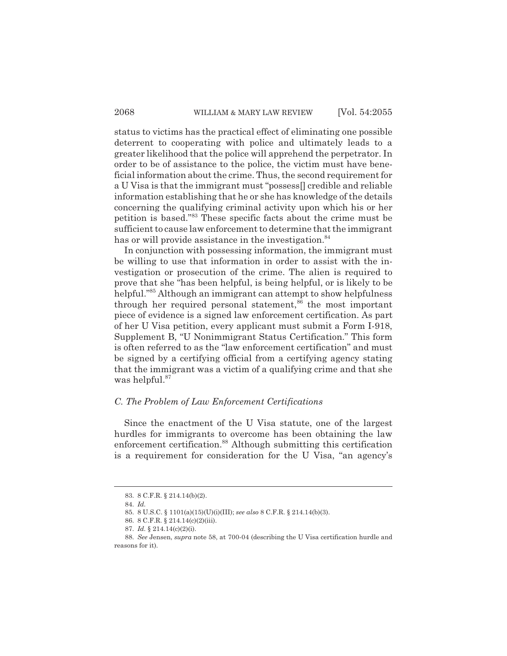status to victims has the practical effect of eliminating one possible deterrent to cooperating with police and ultimately leads to a greater likelihood that the police will apprehend the perpetrator. In order to be of assistance to the police, the victim must have beneficial information about the crime. Thus, the second requirement for a U Visa is that the immigrant must "possess[] credible and reliable information establishing that he or she has knowledge of the details concerning the qualifying criminal activity upon which his or her petition is based."83 These specific facts about the crime must be sufficient to cause law enforcement to determine that the immigrant has or will provide assistance in the investigation.<sup>84</sup>

In conjunction with possessing information, the immigrant must be willing to use that information in order to assist with the investigation or prosecution of the crime. The alien is required to prove that she "has been helpful, is being helpful, or is likely to be helpful."85 Although an immigrant can attempt to show helpfulness through her required personal statement, $86$  the most important piece of evidence is a signed law enforcement certification. As part of her U Visa petition, every applicant must submit a Form I-918, Supplement B, "U Nonimmigrant Status Certification." This form is often referred to as the "law enforcement certification" and must be signed by a certifying official from a certifying agency stating that the immigrant was a victim of a qualifying crime and that she was helpful.<sup>87</sup>

### *C. The Problem of Law Enforcement Certifications*

Since the enactment of the U Visa statute, one of the largest hurdles for immigrants to overcome has been obtaining the law enforcement certification.<sup>88</sup> Although submitting this certification is a requirement for consideration for the U Visa, "an agency's

<sup>83. 8</sup> C.F.R. § 214.14(b)(2).

<sup>84.</sup> *Id.*

<sup>85. 8</sup> U.S.C. § 1101(a)(15)(U)(i)(III); *see also* 8 C.F.R. § 214.14(b)(3).

<sup>86. 8</sup> C.F.R. § 214.14(c)(2)(iii).

<sup>87.</sup> *Id.* § 214.14(c)(2)(i).

<sup>88.</sup> *See* Jensen, *supra* note 58, at 700-04 (describing the U Visa certification hurdle and reasons for it).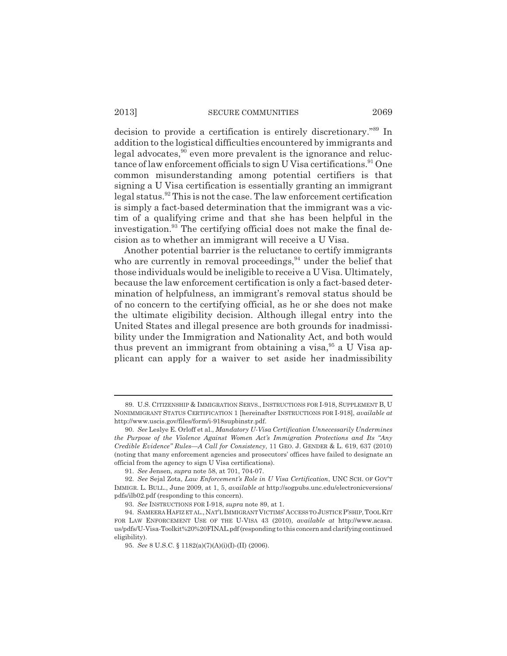decision to provide a certification is entirely discretionary."89 In addition to the logistical difficulties encountered by immigrants and legal advocates, $90$  even more prevalent is the ignorance and reluctance of law enforcement officials to sign U Visa certifications.<sup>91</sup> One common misunderstanding among potential certifiers is that signing a U Visa certification is essentially granting an immigrant legal status.92 This is not the case. The law enforcement certification is simply a fact-based determination that the immigrant was a victim of a qualifying crime and that she has been helpful in the investigation.<sup>93</sup> The certifying official does not make the final decision as to whether an immigrant will receive a U Visa.

Another potential barrier is the reluctance to certify immigrants who are currently in removal proceedings, $94$  under the belief that those individuals would be ineligible to receive a U Visa. Ultimately, because the law enforcement certification is only a fact-based determination of helpfulness, an immigrant's removal status should be of no concern to the certifying official, as he or she does not make the ultimate eligibility decision. Although illegal entry into the United States and illegal presence are both grounds for inadmissibility under the Immigration and Nationality Act, and both would thus prevent an immigrant from obtaining a visa, $95$  a U Visa applicant can apply for a waiver to set aside her inadmissibility

<sup>89.</sup> U.S. CITIZENSHIP & IMMIGRATION SERVS., INSTRUCTIONS FOR I-918, SUPPLEMENT B, U NONIMMIGRANT STATUS CERTIFICATION 1 [hereinafter INSTRUCTIONS FOR I-918], *available at* http://www.uscis.gov/files/form/i-918supbinstr.pdf.

<sup>90.</sup> *See* Leslye E. Orloff et al., *Mandatory U-Visa Certification Unnecessarily Undermines the Purpose of the Violence Against Women Act's Immigration Protections and Its "Any Credible Evidence" Rules—A Call for Consistency*, 11 GEO. J. GENDER & L. 619, 637 (2010) (noting that many enforcement agencies and prosecutors' offices have failed to designate an official from the agency to sign U Visa certifications).

<sup>91.</sup> *See* Jensen, *supra* note 58, at 701, 704-07.

<sup>92.</sup> *See* Sejal Zota, *Law Enforcement's Role in U Visa Certification*, UNC SCH. OF GOV'T IMMIGR. L. BULL., June 2009, at 1, 5, *available at* http://sogpubs.unc.edu/electronicversions/ pdfs/ilb02.pdf (responding to this concern).

<sup>93.</sup> *See* INSTRUCTIONS FOR I-918, *supra* note 89, at 1.

<sup>94.</sup> SAMEERA HAFIZ ET AL., NAT'L IMMIGRANT VICTIMS'ACCESS TO JUSTICE P'SHIP,TOOL KIT FOR LAW ENFORCEMENT USE OF THE U-VISA 43 (2010), *available at* http://www.acasa. us/pdfs/U-Visa-Toolkit%20%20FINAL.pdf (responding to this concern and clarifying continued eligibility).

<sup>95.</sup> *See* 8 U.S.C. § 1182(a)(7)(A)(i)(I)-(II) (2006).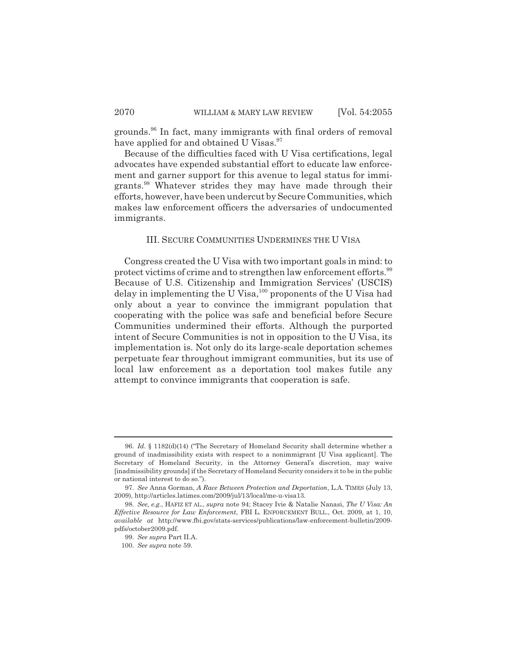grounds.96 In fact, many immigrants with final orders of removal have applied for and obtained U Visas.<sup>97</sup>

Because of the difficulties faced with U Visa certifications, legal advocates have expended substantial effort to educate law enforcement and garner support for this avenue to legal status for immigrants.98 Whatever strides they may have made through their efforts, however, have been undercut by Secure Communities, which makes law enforcement officers the adversaries of undocumented immigrants.

### III. SECURE COMMUNITIES UNDERMINES THE U VISA

Congress created the U Visa with two important goals in mind: to protect victims of crime and to strengthen law enforcement efforts.<sup>99</sup> Because of U.S. Citizenship and Immigration Services' (USCIS) delay in implementing the U Visa,<sup>100</sup> proponents of the U Visa had only about a year to convince the immigrant population that cooperating with the police was safe and beneficial before Secure Communities undermined their efforts. Although the purported intent of Secure Communities is not in opposition to the U Visa, its implementation is. Not only do its large-scale deportation schemes perpetuate fear throughout immigrant communities, but its use of local law enforcement as a deportation tool makes futile any attempt to convince immigrants that cooperation is safe.

<sup>96.</sup> *Id.* § 1182(d)(14) ("The Secretary of Homeland Security shall determine whether a ground of inadmissibility exists with respect to a nonimmigrant [U Visa applicant]. The Secretary of Homeland Security, in the Attorney General's discretion, may waive [inadmissibility grounds] if the Secretary of Homeland Security considers it to be in the public or national interest to do so.").

<sup>97.</sup> *See* Anna Gorman, *A Race Between Protection and Deportation*, L.A. TIMES (July 13, 2009), http://articles.latimes.com/2009/jul/13/local/me-u-visa13.

<sup>98.</sup> *See, e.g.*, HAFIZ ET AL., *supra* note 94; Stacey Ivie & Natalie Nanasi, *The U Visa: An Effective Resource for Law Enforcement*, FBI L. ENFORCEMENT BULL., Oct. 2009, at 1, 10, *available at* http://www.fbi.gov/stats-services/publications/law-enforcement-bulletin/2009 pdfs/october2009.pdf.

<sup>99.</sup> *See supra* Part II.A.

<sup>100.</sup> *See supra* note 59.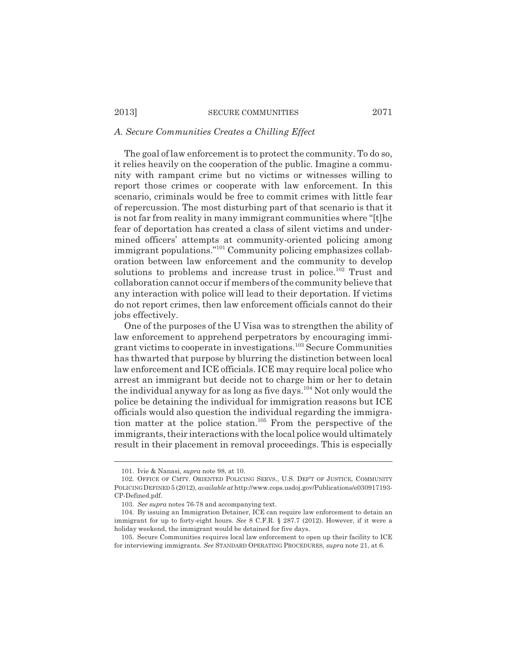## *A. Secure Communities Creates a Chilling Effect*

The goal of law enforcement is to protect the community. To do so, it relies heavily on the cooperation of the public. Imagine a community with rampant crime but no victims or witnesses willing to report those crimes or cooperate with law enforcement. In this scenario, criminals would be free to commit crimes with little fear of repercussion. The most disturbing part of that scenario is that it is not far from reality in many immigrant communities where "[t]he fear of deportation has created a class of silent victims and undermined officers' attempts at community-oriented policing among immigrant populations."<sup>101</sup> Community policing emphasizes collaboration between law enforcement and the community to develop solutions to problems and increase trust in police.<sup>102</sup> Trust and collaboration cannot occur if members of the community believe that any interaction with police will lead to their deportation. If victims do not report crimes, then law enforcement officials cannot do their jobs effectively.

One of the purposes of the U Visa was to strengthen the ability of law enforcement to apprehend perpetrators by encouraging immigrant victims to cooperate in investigations.103 Secure Communities has thwarted that purpose by blurring the distinction between local law enforcement and ICE officials. ICE may require local police who arrest an immigrant but decide not to charge him or her to detain the individual anyway for as long as five days.<sup>104</sup> Not only would the police be detaining the individual for immigration reasons but ICE officials would also question the individual regarding the immigration matter at the police station.105 From the perspective of the immigrants, their interactions with the local police would ultimately result in their placement in removal proceedings. This is especially

<sup>101.</sup> Ivie & Nanasi, *supra* note 98, at 10.

<sup>102.</sup> OFFICE OF CMTY. ORIENTED POLICING SERVS., U.S. DEP'T OF JUSTICE, COMMUNITY POLICING DEFINED 5 (2012), *available at* http://www.cops.usdoj.gov/Publications/e030917193- CP-Defined.pdf.

<sup>103.</sup> *See supra* notes 76-78 and accompanying text.

<sup>104.</sup> By issuing an Immigration Detainer, ICE can require law enforcement to detain an immigrant for up to forty-eight hours. *See* 8 C.F.R. § 287.7 (2012). However, if it were a holiday weekend, the immigrant would be detained for five days.

<sup>105.</sup> Secure Communities requires local law enforcement to open up their facility to ICE for interviewing immigrants. *See* STANDARD OPERATING PROCEDURES, *supra* note 21, at 6.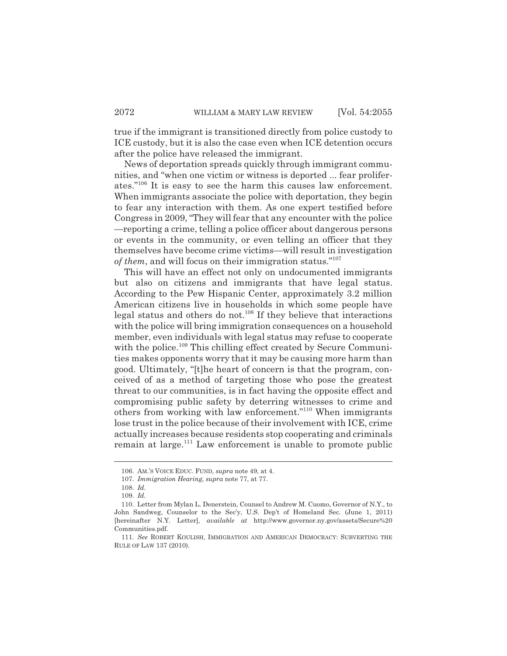true if the immigrant is transitioned directly from police custody to ICE custody, but it is also the case even when ICE detention occurs after the police have released the immigrant.

News of deportation spreads quickly through immigrant communities, and "when one victim or witness is deported ... fear proliferates."106 It is easy to see the harm this causes law enforcement. When immigrants associate the police with deportation, they begin to fear any interaction with them. As one expert testified before Congress in 2009, "They will fear that any encounter with the police —reporting a crime, telling a police officer about dangerous persons or events in the community, or even telling an officer that they themselves have become crime victims—will result in investigation *of them*, and will focus on their immigration status."107

This will have an effect not only on undocumented immigrants but also on citizens and immigrants that have legal status. According to the Pew Hispanic Center, approximately 3.2 million American citizens live in households in which some people have legal status and others do not.108 If they believe that interactions with the police will bring immigration consequences on a household member, even individuals with legal status may refuse to cooperate with the police.<sup>109</sup> This chilling effect created by Secure Communities makes opponents worry that it may be causing more harm than good. Ultimately, "[t]he heart of concern is that the program, conceived of as a method of targeting those who pose the greatest threat to our communities, is in fact having the opposite effect and compromising public safety by deterring witnesses to crime and others from working with law enforcement."110 When immigrants lose trust in the police because of their involvement with ICE, crime actually increases because residents stop cooperating and criminals remain at large.<sup>111</sup> Law enforcement is unable to promote public

<sup>106.</sup> AM.'S VOICE EDUC. FUND, *supra* note 49, at 4.

<sup>107.</sup> *Immigration Hearing*, *supra* note 77, at 77.

<sup>108.</sup> *Id.*

<sup>109.</sup> *Id.*

<sup>110.</sup> Letter from Mylan L. Denerstein, Counsel to Andrew M. Cuomo, Governor of N.Y., to John Sandweg, Counselor to the Sec'y, U.S. Dep't of Homeland Sec. (June 1, 2011) [hereinafter N.Y. Letter], *available at* http://www.governor.ny.gov/assets/Secure%20 Communities.pdf.

<sup>111.</sup> *See* ROBERT KOULISH, IMMIGRATION AND AMERICAN DEMOCRACY: SUBVERTING THE RULE OF LAW 137 (2010).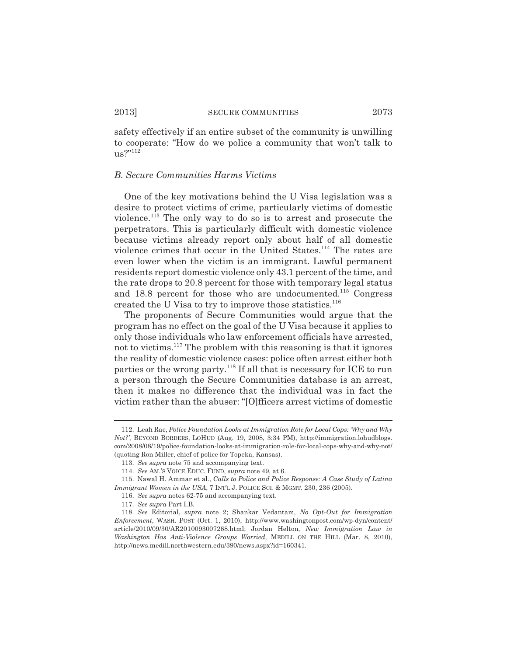safety effectively if an entire subset of the community is unwilling to cooperate: "How do we police a community that won't talk to  $us?''^{112}$ 

#### *B. Secure Communities Harms Victims*

One of the key motivations behind the U Visa legislation was a desire to protect victims of crime, particularly victims of domestic violence.113 The only way to do so is to arrest and prosecute the perpetrators. This is particularly difficult with domestic violence because victims already report only about half of all domestic violence crimes that occur in the United States.114 The rates are even lower when the victim is an immigrant. Lawful permanent residents report domestic violence only 43.1 percent of the time, and the rate drops to 20.8 percent for those with temporary legal status and 18.8 percent for those who are undocumented.<sup>115</sup> Congress created the U Visa to try to improve those statistics.<sup>116</sup>

The proponents of Secure Communities would argue that the program has no effect on the goal of the U Visa because it applies to only those individuals who law enforcement officials have arrested, not to victims.117 The problem with this reasoning is that it ignores the reality of domestic violence cases: police often arrest either both parties or the wrong party.<sup>118</sup> If all that is necessary for ICE to run a person through the Secure Communities database is an arrest, then it makes no difference that the individual was in fact the victim rather than the abuser: "[O]fficers arrest victims of domestic

<sup>112.</sup> Leah Rae, *Police Foundation Looks at Immigration Role for Local Cops: 'Why and Why Not?'*, BEYOND BORDERS, LOHUD (Aug. 19, 2008, 3:34 PM), http://immigration.lohudblogs. com/2008/08/19/police-foundation-looks-at-immigration-role-for-local-cops-why-and-why-not/ (quoting Ron Miller, chief of police for Topeka, Kansas).

<sup>113.</sup> *See supra* note 75 and accompanying text.

<sup>114.</sup> *See* AM.'S VOICE EDUC. FUND, *supra* note 49, at 6.

<sup>115.</sup> Nawal H. Ammar et al., *Calls to Police and Police Response: A Case Study of Latina Immigrant Women in the USA*, 7 INT'L J. POLICE SCI. & MGMT. 230, 236 (2005).

<sup>116.</sup> *See supra* notes 62-75 and accompanying text.

<sup>117.</sup> *See supra* Part I.B.

<sup>118.</sup> *See* Editorial, *supra* note 2; Shankar Vedantam, *No Opt-Out for Immigration Enforcement*, WASH. POST (Oct. 1, 2010), http://www.washingtonpost.com/wp-dyn/content/ article/2010/09/30/AR2010093007268.html; Jordan Helton, *New Immigration Law in Washington Has Anti-Violence Groups Worried*, MEDILL ON THE HILL (Mar. 8, 2010), http://news.medill.northwestern.edu/390/news.aspx?id=160341.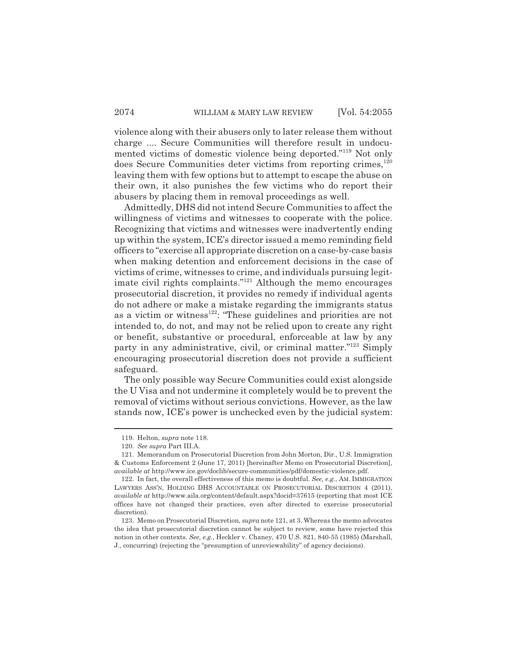violence along with their abusers only to later release them without charge .... Secure Communities will therefore result in undocumented victims of domestic violence being deported."119 Not only does Secure Communities deter victims from reporting crimes, $120$ leaving them with few options but to attempt to escape the abuse on their own, it also punishes the few victims who do report their abusers by placing them in removal proceedings as well.

Admittedly, DHS did not intend Secure Communities to affect the willingness of victims and witnesses to cooperate with the police. Recognizing that victims and witnesses were inadvertently ending up within the system, ICE's director issued a memo reminding field officers to "exercise all appropriate discretion on a case-by-case basis when making detention and enforcement decisions in the case of victims of crime, witnesses to crime, and individuals pursuing legitimate civil rights complaints."<sup>121</sup> Although the memo encourages prosecutorial discretion, it provides no remedy if individual agents do not adhere or make a mistake regarding the immigrants status as a victim or witness $122$ : "These guidelines and priorities are not intended to, do not, and may not be relied upon to create any right or benefit, substantive or procedural, enforceable at law by any party in any administrative, civil, or criminal matter."123 Simply encouraging prosecutorial discretion does not provide a sufficient safeguard.

The only possible way Secure Communities could exist alongside the U Visa and not undermine it completely would be to prevent the removal of victims without serious convictions. However, as the law stands now, ICE's power is unchecked even by the judicial system:

<sup>119.</sup> Helton, *supra* note 118.

<sup>120.</sup> *See supra* Part III.A.

<sup>121.</sup> Memorandum on Prosecutorial Discretion from John Morton, Dir., U.S. Immigration & Customs Enforcement 2 (June 17, 2011) [hereinafter Memo on Prosecutorial Discretion], *available at* http://www.ice.gov/doclib/secure-communities/pdf/domestic-violence.pdf.

<sup>122.</sup> In fact, the overall effectiveness of this memo is doubtful. *See, e.g.*, AM. IMMIGRATION LAWYERS ASS'N, HOLDING DHS ACCOUNTABLE ON PROSECUTORIAL DISCRETION 4 (2011), *available at* http://www.aila.org/content/default.aspx?docid=37615 (reporting that most ICE offices have not changed their practices, even after directed to exercise prosecutorial discretion).

<sup>123.</sup> Memo on Prosecutorial Discretion, *supra* note 121, at 3. Whereas the memo advocates the idea that prosecutorial discretion cannot be subject to review, some have rejected this notion in other contexts. *See, e.g.*, Heckler v. Chaney, 470 U.S. 821, 840-55 (1985) (Marshall, J., concurring) (rejecting the "presumption of unreviewability" of agency decisions).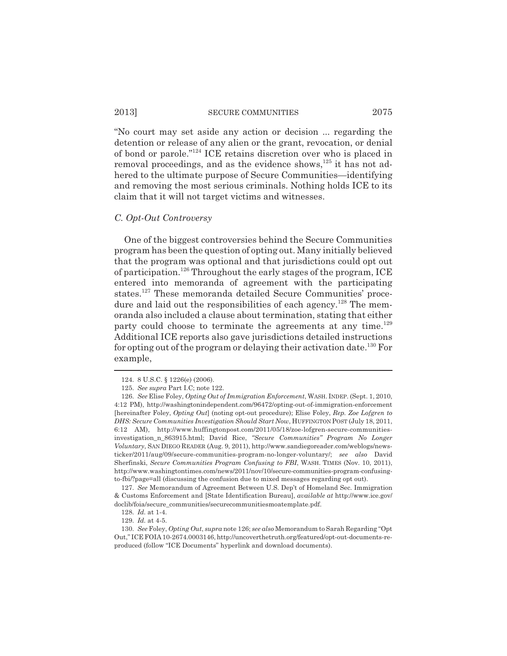"No court may set aside any action or decision ... regarding the detention or release of any alien or the grant, revocation, or denial of bond or parole."124 ICE retains discretion over who is placed in removal proceedings, and as the evidence shows, $^{125}$  it has not adhered to the ultimate purpose of Secure Communities—identifying and removing the most serious criminals. Nothing holds ICE to its claim that it will not target victims and witnesses.

### *C. Opt-Out Controversy*

One of the biggest controversies behind the Secure Communities program has been the question of opting out. Many initially believed that the program was optional and that jurisdictions could opt out of participation.<sup>126</sup> Throughout the early stages of the program, ICE entered into memoranda of agreement with the participating states.127 These memoranda detailed Secure Communities' procedure and laid out the responsibilities of each agency.<sup>128</sup> The memoranda also included a clause about termination, stating that either party could choose to terminate the agreements at any time.<sup>129</sup> Additional ICE reports also gave jurisdictions detailed instructions for opting out of the program or delaying their activation date.130 For example,

<sup>124. 8</sup> U.S.C. § 1226(e) (2006).

<sup>125.</sup> *See supra* Part I.C; note 122.

<sup>126.</sup> *See* Elise Foley, *Opting Out of Immigration Enforcement*, WASH. INDEP. (Sept. 1, 2010, 4:12 PM), http://washingtonindependent.com/96472/opting-out-of-immigration-enforcement [hereinafter Foley, *Opting Out*] (noting opt-out procedure); Elise Foley, *Rep. Zoe Lofgren to DHS: Secure Communities Investigation Should Start Now*, HUFFINGTON POST (July 18, 2011, 6:12 AM), http://www.huffingtonpost.com/2011/05/18/zoe-lofgren-secure-communitiesinvestigation\_n\_863915.html; David Rice, *"Secure Communities" Program No Longer Voluntary*, SAN DIEGO READER (Aug. 9, 2011), http://www.sandiegoreader.com/weblogs/newsticker/2011/aug/09/secure-communities-program-no-longer-voluntary/; *see also* David Sherfinski, *Secure Communities Program Confusing to FBI*, WASH. TIMES (Nov. 10, 2011), http://www.washingtontimes.com/news/2011/nov/10/secure-communities-program-confusingto-fbi/?page=all (discussing the confusion due to mixed messages regarding opt out).

<sup>127.</sup> *See* Memorandum of Agreement Between U.S. Dep't of Homeland Sec. Immigration & Customs Enforcement and [State Identification Bureau], *available at* http://www.ice.gov/ doclib/foia/secure\_communities/securecommunitiesmoatemplate.pdf.

<sup>128.</sup> *Id.* at 1-4.

<sup>129.</sup> *Id.* at 4-5.

<sup>130.</sup> *See* Foley, *Opting Out*, *supra* note 126; *see also* Memorandum to Sarah Regarding "Opt Out," ICE FOIA 10-2674.0003146, http://uncoverthetruth.org/featured/opt-out-documents-reproduced (follow "ICE Documents" hyperlink and download documents).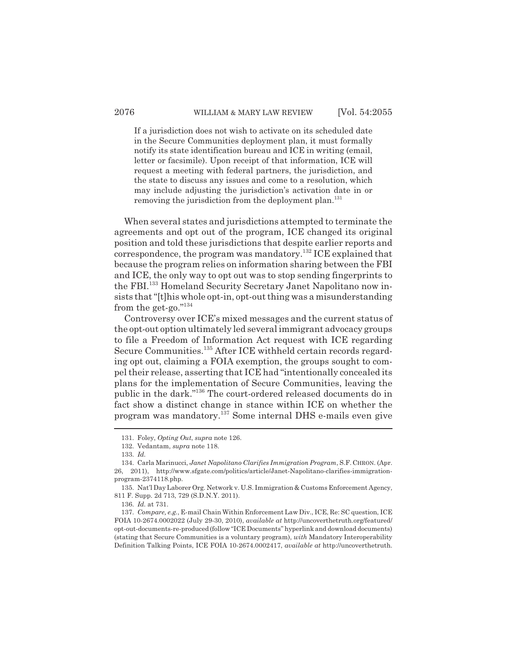If a jurisdiction does not wish to activate on its scheduled date in the Secure Communities deployment plan, it must formally notify its state identification bureau and ICE in writing (email, letter or facsimile). Upon receipt of that information, ICE will request a meeting with federal partners, the jurisdiction, and the state to discuss any issues and come to a resolution, which may include adjusting the jurisdiction's activation date in or removing the jurisdiction from the deployment plan.<sup>131</sup>

When several states and jurisdictions attempted to terminate the agreements and opt out of the program, ICE changed its original position and told these jurisdictions that despite earlier reports and correspondence, the program was mandatory.<sup>132</sup> ICE explained that because the program relies on information sharing between the FBI and ICE, the only way to opt out was to stop sending fingerprints to the FBI.133 Homeland Security Secretary Janet Napolitano now insists that "[t]his whole opt-in, opt-out thing was a misunderstanding from the get-go."134

Controversy over ICE's mixed messages and the current status of the opt-out option ultimately led several immigrant advocacy groups to file a Freedom of Information Act request with ICE regarding Secure Communities.<sup>135</sup> After ICE withheld certain records regarding opt out, claiming a FOIA exemption, the groups sought to compel their release, asserting that ICE had "intentionally concealed its plans for the implementation of Secure Communities, leaving the public in the dark."136 The court-ordered released documents do in fact show a distinct change in stance within ICE on whether the program was mandatory.137 Some internal DHS e-mails even give

<sup>131.</sup> Foley, *Opting Out*, *supra* note 126.

<sup>132.</sup> Vedantam, *supra* note 118.

<sup>133.</sup> *Id.*

<sup>134.</sup> Carla Marinucci, *Janet Napolitano Clarifies Immigration Program*, S.F. CHRON. (Apr. 26, 2011), http://www.sfgate.com/politics/article/Janet-Napolitano-clarifies-immigrationprogram-2374118.php.

<sup>135.</sup> Nat'l Day Laborer Org. Network v. U.S. Immigration & Customs Enforcement Agency, 811 F. Supp. 2d 713, 729 (S.D.N.Y. 2011).

<sup>136.</sup> *Id.* at 731.

<sup>137.</sup> *Compare, e.g.*, E-mail Chain Within Enforcement Law Div., ICE, Re: SC question, ICE FOIA 10-2674.0002022 (July 29-30, 2010), *available at* http://uncoverthetruth.org/featured/ opt-out-documents-re-produced (follow "ICE Documents" hyperlink and download documents) (stating that Secure Communities is a voluntary program), *with* Mandatory Interoperability Definition Talking Points, ICE FOIA 10-2674.0002417, *available at* http://uncoverthetruth.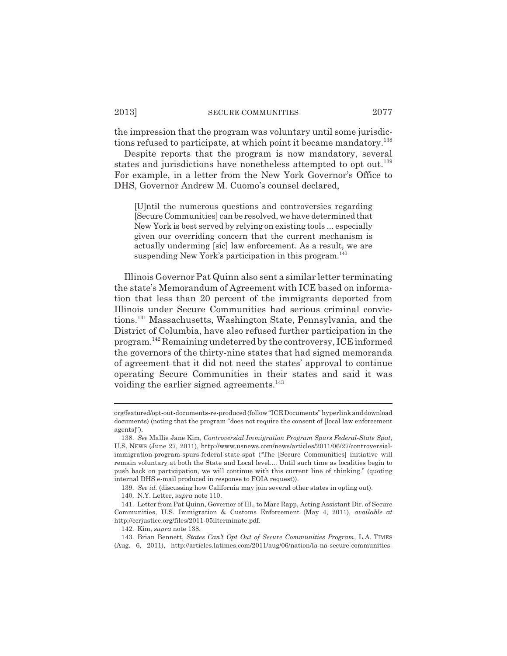the impression that the program was voluntary until some jurisdictions refused to participate, at which point it became mandatory.<sup>138</sup>

Despite reports that the program is now mandatory, several states and jurisdictions have nonetheless attempted to opt out.<sup>139</sup> For example, in a letter from the New York Governor's Office to DHS, Governor Andrew M. Cuomo's counsel declared,

[U]ntil the numerous questions and controversies regarding [Secure Communities] can be resolved, we have determined that New York is best served by relying on existing tools ... especially given our overriding concern that the current mechanism is actually underming [sic] law enforcement. As a result, we are suspending New York's participation in this program.<sup>140</sup>

Illinois Governor Pat Quinn also sent a similar letter terminating the state's Memorandum of Agreement with ICE based on information that less than 20 percent of the immigrants deported from Illinois under Secure Communities had serious criminal convictions.141 Massachusetts, Washington State, Pennsylvania, and the District of Columbia, have also refused further participation in the program.142 Remaining undeterred by the controversy, ICE informed the governors of the thirty-nine states that had signed memoranda of agreement that it did not need the states' approval to continue operating Secure Communities in their states and said it was voiding the earlier signed agreements.<sup>143</sup>

org/featured/opt-out-documents-re-produced (follow "ICE Documents" hyperlink and download documents) (noting that the program "does not require the consent of [local law enforcement agents]").

<sup>138.</sup> *See* Mallie Jane Kim, *Controversial Immigration Program Spurs Federal-State Spat*, U.S. NEWS (June 27, 2011), http://www.usnews.com/news/articles/2011/06/27/controversialimmigration-program-spurs-federal-state-spat ("The [Secure Communities] initiative will remain voluntary at both the State and Local level.... Until such time as localities begin to push back on participation, we will continue with this current line of thinking." (quoting internal DHS e-mail produced in response to FOIA request)).

<sup>139.</sup> *See id.* (discussing how California may join several other states in opting out).

<sup>140.</sup> N.Y. Letter, *supra* note 110.

<sup>141.</sup> Letter from Pat Quinn, Governor of Ill., to Marc Rapp, Acting Assistant Dir. of Secure Communities, U.S. Immigration & Customs Enforcement (May 4, 2011), *available at* http://ccrjustice.org/files/2011-05ilterminate.pdf.

<sup>142.</sup> Kim, *supra* note 138.

<sup>143.</sup> Brian Bennett, *States Can't Opt Out of Secure Communities Program*, L.A. TIMES (Aug. 6, 2011), http://articles.latimes.com/2011/aug/06/nation/la-na-secure-communities-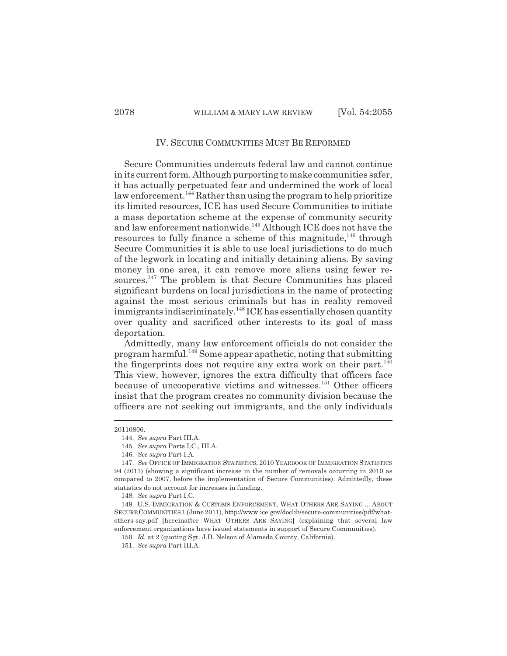## IV. SECURE COMMUNITIES MUST BE REFORMED

Secure Communities undercuts federal law and cannot continue in its current form. Although purporting to make communities safer, it has actually perpetuated fear and undermined the work of local law enforcement.<sup>144</sup> Rather than using the program to help prioritize its limited resources, ICE has used Secure Communities to initiate a mass deportation scheme at the expense of community security and law enforcement nationwide.<sup>145</sup> Although ICE does not have the resources to fully finance a scheme of this magnitude, $^{146}$  through Secure Communities it is able to use local jurisdictions to do much of the legwork in locating and initially detaining aliens. By saving money in one area, it can remove more aliens using fewer resources.<sup>147</sup> The problem is that Secure Communities has placed significant burdens on local jurisdictions in the name of protecting against the most serious criminals but has in reality removed immigrants indiscriminately.<sup>148</sup> ICE has essentially chosen quantity over quality and sacrificed other interests to its goal of mass deportation.

Admittedly, many law enforcement officials do not consider the program harmful.149 Some appear apathetic, noting that submitting the fingerprints does not require any extra work on their part.<sup>150</sup> This view, however, ignores the extra difficulty that officers face because of uncooperative victims and witnesses.<sup>151</sup> Other officers insist that the program creates no community division because the officers are not seeking out immigrants, and the only individuals

<sup>20110806.</sup>

<sup>144.</sup> *See supra* Part III.A.

<sup>145.</sup> *See supra* Parts I.C., III.A.

<sup>146.</sup> *See supra* Part I.A.

<sup>147.</sup> *See* OFFICE OF IMMIGRATION STATISTICS, 2010 YEARBOOK OF IMMIGRATION STATISTICS 94 (2011) (showing a significant increase in the number of removals occurring in 2010 as compared to 2007, before the implementation of Secure Communities). Admittedly, these statistics do not account for increases in funding.

<sup>148.</sup> *See supra* Part I.C.

<sup>149.</sup> U.S. IMMIGRATION & CUSTOMS ENFORCEMENT, WHAT OTHERS ARE SAYING ... ABOUT SECURE COMMUNITIES 1 (June 2011), http://www.ice.gov/doclib/secure-communities/pdf/whatothers-say.pdf [hereinafter WHAT OTHERS ARE SAYING] (explaining that several law enforcement organizations have issued statements in support of Secure Communities).

<sup>150.</sup> *Id.* at 2 (quoting Sgt. J.D. Nelson of Alameda County, California).

<sup>151.</sup> *See supra* Part III.A.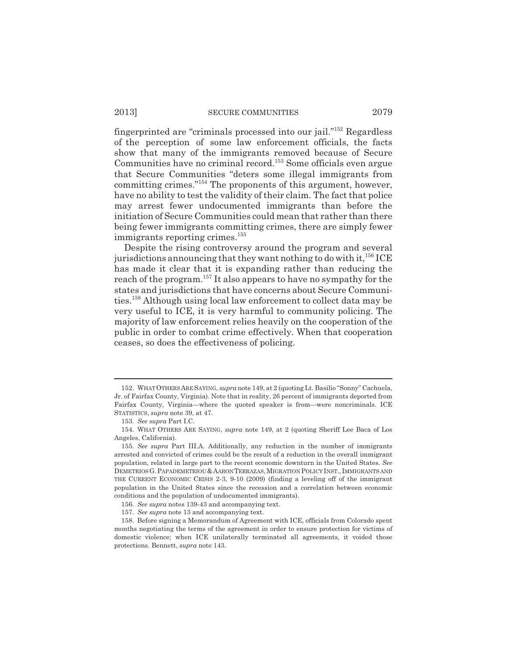fingerprinted are "criminals processed into our jail."152 Regardless of the perception of some law enforcement officials, the facts show that many of the immigrants removed because of Secure Communities have no criminal record.<sup>153</sup> Some officials even argue that Secure Communities "deters some illegal immigrants from committing crimes."154 The proponents of this argument, however, have no ability to test the validity of their claim. The fact that police may arrest fewer undocumented immigrants than before the initiation of Secure Communities could mean that rather than there being fewer immigrants committing crimes, there are simply fewer immigrants reporting crimes.<sup>155</sup>

Despite the rising controversy around the program and several jurisdictions announcing that they want nothing to do with it,  $^{156}$  ICE has made it clear that it is expanding rather than reducing the reach of the program.157 It also appears to have no sympathy for the states and jurisdictions that have concerns about Secure Communities.158 Although using local law enforcement to collect data may be very useful to ICE, it is very harmful to community policing. The majority of law enforcement relies heavily on the cooperation of the public in order to combat crime effectively. When that cooperation ceases, so does the effectiveness of policing.

<sup>152.</sup> WHAT OTHERS ARE SAYING, *supra* note 149, at 2 (quoting Lt. Basilio "Sonny" Cachuela, Jr. of Fairfax County, Virginia). Note that in reality, 26 percent of immigrants deported from Fairfax County, Virginia—where the quoted speaker is from—were noncriminals. ICE STATISTICS, *supra* note 39, at 47.

<sup>153.</sup> *See supra* Part I.C.

<sup>154.</sup> WHAT OTHERS ARE SAYING, *supra* note 149, at 2 (quoting Sheriff Lee Baca of Los Angeles, California).

<sup>155.</sup> *See supra* Part III.A. Additionally, any reduction in the number of immigrants arrested and convicted of crimes could be the result of a reduction in the overall immigrant population, related in large part to the recent economic downturn in the United States. *See* DEMETRIOS G.PAPADEMETRIOU &AARON TERRAZAS,MIGRATION POLICY INST., IMMIGRANTS AND THE CURRENT ECONOMIC CRISIS 2-3, 9-10 (2009) (finding a leveling off of the immigrant population in the United States since the recession and a correlation between economic conditions and the population of undocumented immigrants).

<sup>156.</sup> *See supra* notes 139-43 and accompanying text.

<sup>157.</sup> *See supra* note 13 and accompanying text.

<sup>158.</sup> Before signing a Memorandum of Agreement with ICE, officials from Colorado spent months negotiating the terms of the agreement in order to ensure protection for victims of domestic violence; when ICE unilaterally terminated all agreements, it voided those protections. Bennett, *supra* note 143.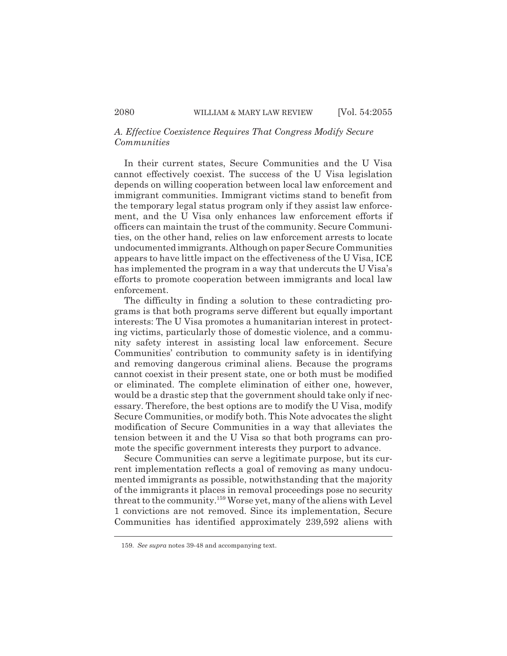# *A. Effective Coexistence Requires That Congress Modify Secure Communities*

In their current states, Secure Communities and the U Visa cannot effectively coexist. The success of the U Visa legislation depends on willing cooperation between local law enforcement and immigrant communities. Immigrant victims stand to benefit from the temporary legal status program only if they assist law enforcement, and the U Visa only enhances law enforcement efforts if officers can maintain the trust of the community. Secure Communities, on the other hand, relies on law enforcement arrests to locate undocumented immigrants. Although on paper Secure Communities appears to have little impact on the effectiveness of the U Visa, ICE has implemented the program in a way that undercuts the U Visa's efforts to promote cooperation between immigrants and local law enforcement.

The difficulty in finding a solution to these contradicting programs is that both programs serve different but equally important interests: The U Visa promotes a humanitarian interest in protecting victims, particularly those of domestic violence, and a community safety interest in assisting local law enforcement. Secure Communities' contribution to community safety is in identifying and removing dangerous criminal aliens. Because the programs cannot coexist in their present state, one or both must be modified or eliminated. The complete elimination of either one, however, would be a drastic step that the government should take only if necessary. Therefore, the best options are to modify the U Visa, modify Secure Communities, or modify both. This Note advocates the slight modification of Secure Communities in a way that alleviates the tension between it and the U Visa so that both programs can promote the specific government interests they purport to advance.

Secure Communities can serve a legitimate purpose, but its current implementation reflects a goal of removing as many undocumented immigrants as possible, notwithstanding that the majority of the immigrants it places in removal proceedings pose no security threat to the community.<sup>159</sup> Worse yet, many of the aliens with Level 1 convictions are not removed. Since its implementation, Secure Communities has identified approximately 239,592 aliens with

<sup>159.</sup> *See supra* notes 39-48 and accompanying text.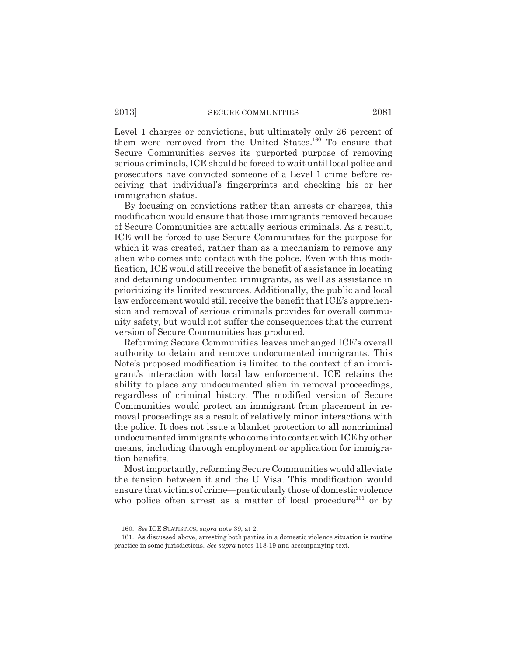Level 1 charges or convictions, but ultimately only 26 percent of them were removed from the United States.<sup>160</sup> To ensure that Secure Communities serves its purported purpose of removing serious criminals, ICE should be forced to wait until local police and prosecutors have convicted someone of a Level 1 crime before receiving that individual's fingerprints and checking his or her immigration status.

By focusing on convictions rather than arrests or charges, this modification would ensure that those immigrants removed because of Secure Communities are actually serious criminals. As a result, ICE will be forced to use Secure Communities for the purpose for which it was created, rather than as a mechanism to remove any alien who comes into contact with the police. Even with this modification, ICE would still receive the benefit of assistance in locating and detaining undocumented immigrants, as well as assistance in prioritizing its limited resources. Additionally, the public and local law enforcement would still receive the benefit that ICE's apprehension and removal of serious criminals provides for overall community safety, but would not suffer the consequences that the current version of Secure Communities has produced.

Reforming Secure Communities leaves unchanged ICE's overall authority to detain and remove undocumented immigrants. This Note's proposed modification is limited to the context of an immigrant's interaction with local law enforcement. ICE retains the ability to place any undocumented alien in removal proceedings, regardless of criminal history. The modified version of Secure Communities would protect an immigrant from placement in removal proceedings as a result of relatively minor interactions with the police. It does not issue a blanket protection to all noncriminal undocumented immigrants who come into contact with ICE by other means, including through employment or application for immigration benefits.

Most importantly, reforming Secure Communities would alleviate the tension between it and the U Visa. This modification would ensure that victims of crime—particularly those of domestic violence who police often arrest as a matter of local procedure<sup>161</sup> or by

<sup>160.</sup> *See* ICE STATISTICS, *supra* note 39, at 2.

<sup>161.</sup> As discussed above, arresting both parties in a domestic violence situation is routine practice in some jurisdictions. *See supra* notes 118-19 and accompanying text.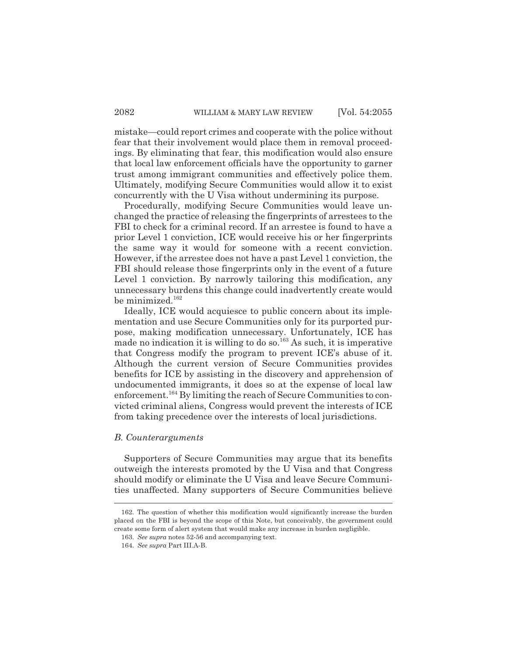mistake—could report crimes and cooperate with the police without fear that their involvement would place them in removal proceedings. By eliminating that fear, this modification would also ensure that local law enforcement officials have the opportunity to garner trust among immigrant communities and effectively police them. Ultimately, modifying Secure Communities would allow it to exist concurrently with the U Visa without undermining its purpose.

Procedurally, modifying Secure Communities would leave unchanged the practice of releasing the fingerprints of arrestees to the FBI to check for a criminal record. If an arrestee is found to have a prior Level 1 conviction, ICE would receive his or her fingerprints the same way it would for someone with a recent conviction. However, if the arrestee does not have a past Level 1 conviction, the FBI should release those fingerprints only in the event of a future Level 1 conviction. By narrowly tailoring this modification, any unnecessary burdens this change could inadvertently create would be minimized.<sup>162</sup>

Ideally, ICE would acquiesce to public concern about its implementation and use Secure Communities only for its purported purpose, making modification unnecessary. Unfortunately, ICE has made no indication it is willing to do so.<sup>163</sup> As such, it is imperative that Congress modify the program to prevent ICE's abuse of it. Although the current version of Secure Communities provides benefits for ICE by assisting in the discovery and apprehension of undocumented immigrants, it does so at the expense of local law enforcement.<sup>164</sup> By limiting the reach of Secure Communities to convicted criminal aliens, Congress would prevent the interests of ICE from taking precedence over the interests of local jurisdictions.

#### *B. Counterarguments*

Supporters of Secure Communities may argue that its benefits outweigh the interests promoted by the U Visa and that Congress should modify or eliminate the U Visa and leave Secure Communities unaffected. Many supporters of Secure Communities believe

<sup>162.</sup> The question of whether this modification would significantly increase the burden placed on the FBI is beyond the scope of this Note, but conceivably, the government could create some form of alert system that would make any increase in burden negligible.

<sup>163.</sup> *See supra* notes 52-56 and accompanying text.

<sup>164.</sup> *See supra* Part III.A-B.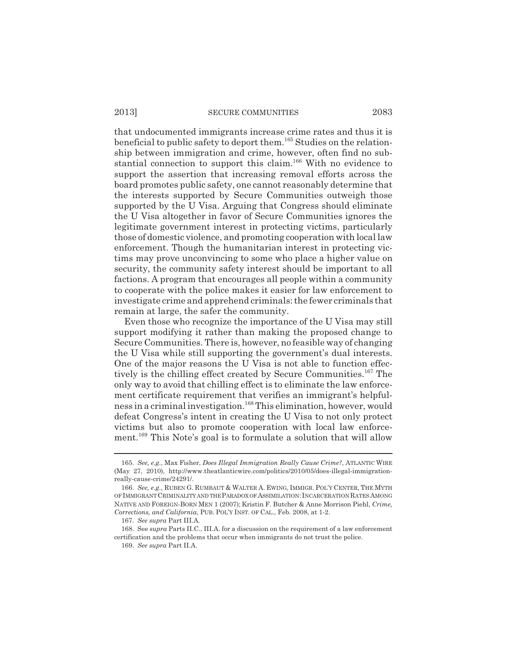that undocumented immigrants increase crime rates and thus it is beneficial to public safety to deport them.<sup>165</sup> Studies on the relationship between immigration and crime, however, often find no substantial connection to support this claim.166 With no evidence to support the assertion that increasing removal efforts across the board promotes public safety, one cannot reasonably determine that the interests supported by Secure Communities outweigh those supported by the U Visa. Arguing that Congress should eliminate the U Visa altogether in favor of Secure Communities ignores the legitimate government interest in protecting victims, particularly those of domestic violence, and promoting cooperation with local law enforcement. Though the humanitarian interest in protecting victims may prove unconvincing to some who place a higher value on security, the community safety interest should be important to all factions. A program that encourages all people within a community to cooperate with the police makes it easier for law enforcement to investigate crime and apprehend criminals: the fewer criminals that remain at large, the safer the community.

Even those who recognize the importance of the U Visa may still support modifying it rather than making the proposed change to Secure Communities. There is, however, no feasible way of changing the U Visa while still supporting the government's dual interests. One of the major reasons the U Visa is not able to function effectively is the chilling effect created by Secure Communities.<sup>167</sup> The only way to avoid that chilling effect is to eliminate the law enforcement certificate requirement that verifies an immigrant's helpfulness in a criminal investigation.168 This elimination, however, would defeat Congress's intent in creating the U Visa to not only protect victims but also to promote cooperation with local law enforcement.<sup>169</sup> This Note's goal is to formulate a solution that will allow

<sup>165.</sup> *See, e.g.*, Max Fisher, *Does Illegal Immigration Really Cause Crime?*, ATLANTIC WIRE (May 27, 2010), http://www.theatlanticwire.com/politics/2010/05/does-illegal-immigrationreally-cause-crime/24291/.

<sup>166.</sup> *See, e.g.*, RUBEN G. RUMBAUT & WALTER A. EWING, IMMIGR. POL'Y CENTER, THE MYTH OF IMMIGRANT CRIMINALITY AND THE PARADOX OF ASSIMILATION: INCARCERATION RATES AMONG NATIVE AND FOREIGN-BORN MEN 1 (2007); Kristin F. Butcher & Anne Morrison Piehl, *Crime, Corrections, and California*, PUB. POL'Y INST. OF CAL., Feb. 2008, at 1-2.

<sup>167.</sup> *See supra* Part III.A.

<sup>168.</sup> See *supra* Parts II.C., III.A. for a discussion on the requirement of a law enforcement certification and the problems that occur when immigrants do not trust the police.

<sup>169.</sup> *See supra* Part II.A.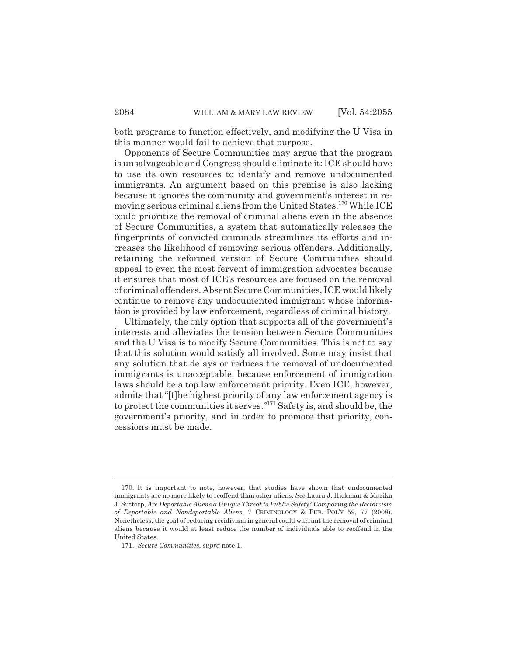both programs to function effectively, and modifying the U Visa in this manner would fail to achieve that purpose.

Opponents of Secure Communities may argue that the program is unsalvageable and Congress should eliminate it: ICE should have to use its own resources to identify and remove undocumented immigrants. An argument based on this premise is also lacking because it ignores the community and government's interest in removing serious criminal aliens from the United States.170 While ICE could prioritize the removal of criminal aliens even in the absence of Secure Communities, a system that automatically releases the fingerprints of convicted criminals streamlines its efforts and increases the likelihood of removing serious offenders. Additionally, retaining the reformed version of Secure Communities should appeal to even the most fervent of immigration advocates because it ensures that most of ICE's resources are focused on the removal of criminal offenders. Absent Secure Communities, ICE would likely continue to remove any undocumented immigrant whose information is provided by law enforcement, regardless of criminal history.

Ultimately, the only option that supports all of the government's interests and alleviates the tension between Secure Communities and the U Visa is to modify Secure Communities. This is not to say that this solution would satisfy all involved. Some may insist that any solution that delays or reduces the removal of undocumented immigrants is unacceptable, because enforcement of immigration laws should be a top law enforcement priority. Even ICE, however, admits that "[t]he highest priority of any law enforcement agency is to protect the communities it serves."171 Safety is, and should be, the government's priority, and in order to promote that priority, concessions must be made.

<sup>170.</sup> It is important to note, however, that studies have shown that undocumented immigrants are no more likely to reoffend than other aliens. *See* Laura J. Hickman & Marika J. Suttorp, *Are Deportable Aliens a Unique Threat to Public Safety? Comparing the Recidivism of Deportable and Nondeportable Aliens*, 7 CRIMINOLOGY & PUB. POL'Y 59, 77 (2008). Nonetheless, the goal of reducing recidivism in general could warrant the removal of criminal aliens because it would at least reduce the number of individuals able to reoffend in the United States.

<sup>171.</sup> *Secure Communities*, *supra* note 1.